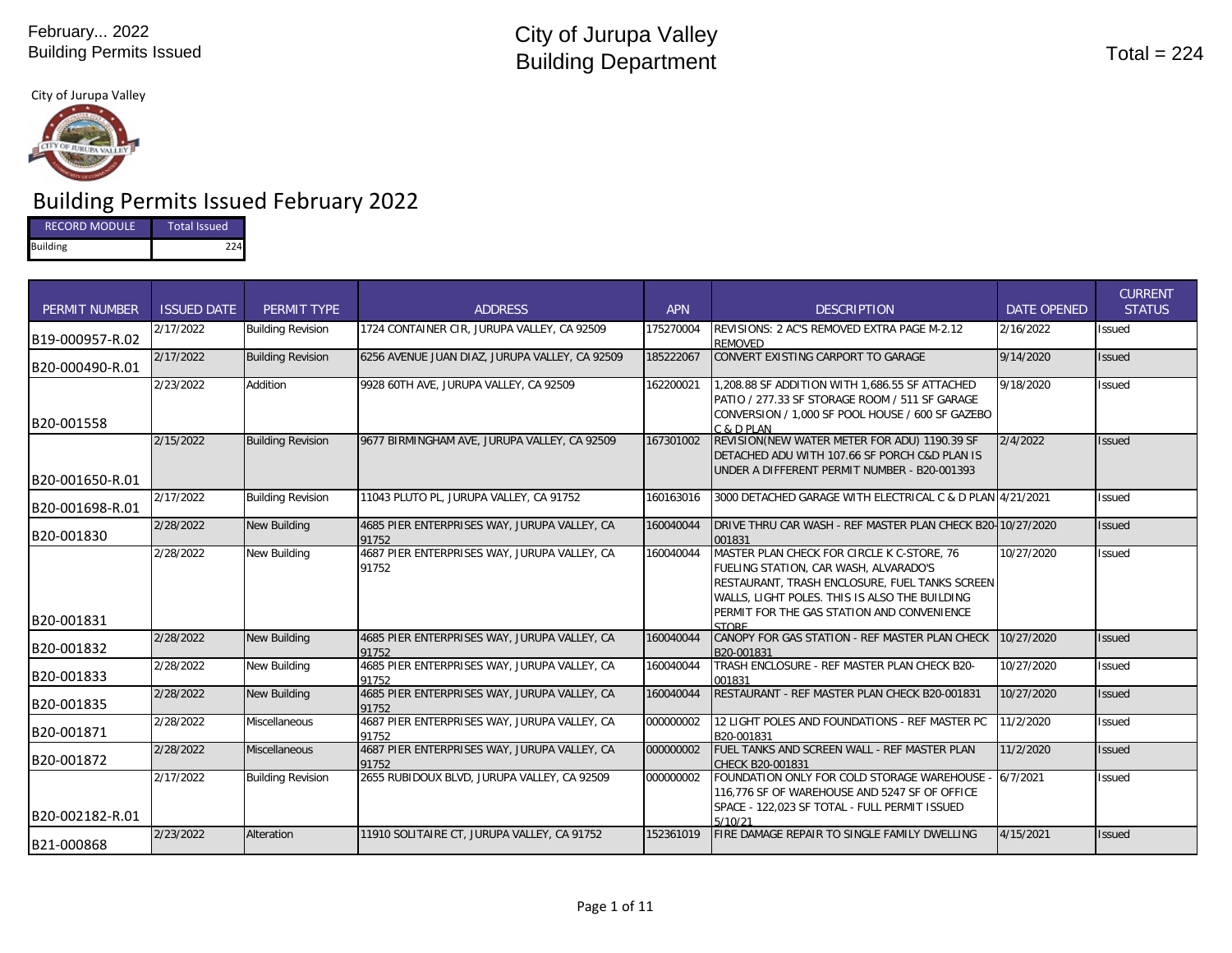City of Jurupa Valley



# Building Permits Issued February 2022

| <b>RECORD MODULE</b> | <b>Total Issued</b> |
|----------------------|---------------------|
| <b>Building</b>      | 224                 |

| <b>PERMIT NUMBER</b> | <b>ISSUED DATE</b> | PERMIT TYPE              | <b>ADDRESS</b>                                        | <b>APN</b> | <b>DESCRIPTION</b>                                                                                                                                                                                                                   | <b>DATE OPENED</b> | <b>CURRENT</b><br><b>STATUS</b> |
|----------------------|--------------------|--------------------------|-------------------------------------------------------|------------|--------------------------------------------------------------------------------------------------------------------------------------------------------------------------------------------------------------------------------------|--------------------|---------------------------------|
| B19-000957-R.02      | 2/17/2022          | <b>Building Revision</b> | 1724 CONTAINER CIR. JURUPA VALLEY, CA 92509           | 175270004  | REVISIONS: 2 AC'S REMOVED EXTRA PAGE M-2.12<br><b>REMOVED</b>                                                                                                                                                                        | 2/16/2022          | Issued                          |
| B20-000490-R.01      | 2/17/2022          | <b>Building Revision</b> | 6256 AVENUE JUAN DIAZ, JURUPA VALLEY, CA 92509        | 185222067  | CONVERT EXISTING CARPORT TO GARAGE                                                                                                                                                                                                   | 9/14/2020          | <b>Issued</b>                   |
| B20-001558           | 2/23/2022          | Addition                 | 9928 60TH AVE, JURUPA VALLEY, CA 92509                | 162200021  | 1,208.88 SF ADDITION WITH 1,686.55 SF ATTACHED<br>PATIO / 277.33 SF STORAGE ROOM / 511 SF GARAGE<br>CONVERSION / 1,000 SF POOL HOUSE / 600 SF GAZEBO<br>$C$ & $D$ PI AN                                                              | 9/18/2020          | Issued                          |
| B20-001650-R.01      | 2/15/2022          | <b>Building Revision</b> | 9677 BIRMINGHAM AVE, JURUPA VALLEY, CA 92509          | 167301002  | REVISION(NEW WATER METER FOR ADU) 1190.39 SF<br>DETACHED ADU WITH 107.66 SF PORCH C&D PLAN IS<br>UNDER A DIFFERENT PERMIT NUMBER - B20-001393                                                                                        | 2/4/2022           | <b>Issued</b>                   |
| B20-001698-R.01      | 2/17/2022          | <b>Building Revision</b> | 11043 PLUTO PL, JURUPA VALLEY, CA 91752               | 160163016  | 3000 DETACHED GARAGE WITH ELECTRICAL C & D PLAN 4/21/2021                                                                                                                                                                            |                    | Issued                          |
| B20-001830           | 2/28/2022          | New Building             | 4685 PIER ENTERPRISES WAY, JURUPA VALLEY, CA<br>91752 | 160040044  | DRIVE THRU CAR WASH - REF MASTER PLAN CHECK B20-10/27/2020<br>001831                                                                                                                                                                 |                    | <b>Issued</b>                   |
| B20-001831           | 2/28/2022          | New Building             | 4687 PIER ENTERPRISES WAY, JURUPA VALLEY, CA<br>91752 | 160040044  | MASTER PLAN CHECK FOR CIRCLE K C-STORE, 76<br>FUELING STATION, CAR WASH, ALVARADO'S<br>RESTAURANT, TRASH ENCLOSURE, FUEL TANKS SCREEN<br>WALLS, LIGHT POLES. THIS IS ALSO THE BUILDING<br>PERMIT FOR THE GAS STATION AND CONVENIENCE | 10/27/2020         | Issued                          |
| B20-001832           | 2/28/2022          | <b>New Building</b>      | 4685 PIER ENTERPRISES WAY, JURUPA VALLEY, CA<br>91752 | 160040044  | <b>STORE</b><br>CANOPY FOR GAS STATION - REF MASTER PLAN CHECK<br>B20-001831                                                                                                                                                         | 10/27/2020         | Issued                          |
| B20-001833           | 2/28/2022          | <b>New Building</b>      | 4685 PIER ENTERPRISES WAY, JURUPA VALLEY, CA<br>91752 | 160040044  | TRASH ENCLOSURE - REF MASTER PLAN CHECK B20-<br>001831                                                                                                                                                                               | 10/27/2020         | <b>Issued</b>                   |
| B20-001835           | 2/28/2022          | New Building             | 4685 PIER ENTERPRISES WAY, JURUPA VALLEY, CA<br>91752 | 160040044  | RESTAURANT - REF MASTER PLAN CHECK B20-001831                                                                                                                                                                                        | 10/27/2020         | <b>Issued</b>                   |
| B20-001871           | 2/28/2022          | Miscellaneous            | 4687 PIER ENTERPRISES WAY, JURUPA VALLEY, CA<br>91752 | 000000002  | 12 LIGHT POLES AND FOUNDATIONS - REF MASTER PC<br>B20-001831                                                                                                                                                                         | 11/2/2020          | Issued                          |
| B20-001872           | 2/28/2022          | <b>Miscellaneous</b>     | 4687 PIER ENTERPRISES WAY, JURUPA VALLEY, CA<br>91752 | 000000002  | FUEL TANKS AND SCREEN WALL - REF MASTER PLAN<br>CHECK B20-001831                                                                                                                                                                     | 11/2/2020          | Issued                          |
| B20-002182-R.01      | 2/17/2022          | <b>Building Revision</b> | 2655 RUBIDOUX BLVD, JURUPA VALLEY, CA 92509           | 000000002  | FOUNDATION ONLY FOR COLD STORAGE WAREHOUSE - 6/7/2021<br>116,776 SF OF WAREHOUSE AND 5247 SF OF OFFICE<br>SPACE - 122,023 SF TOTAL - FULL PERMIT ISSUED<br>5/10/21                                                                   |                    | Issued                          |
| B21-000868           | 2/23/2022          | Alteration               | 11910 SOLITAIRE CT, JURUPA VALLEY, CA 91752           | 152361019  | FIRE DAMAGE REPAIR TO SINGLE FAMILY DWELLING                                                                                                                                                                                         | 4/15/2021          | Issued                          |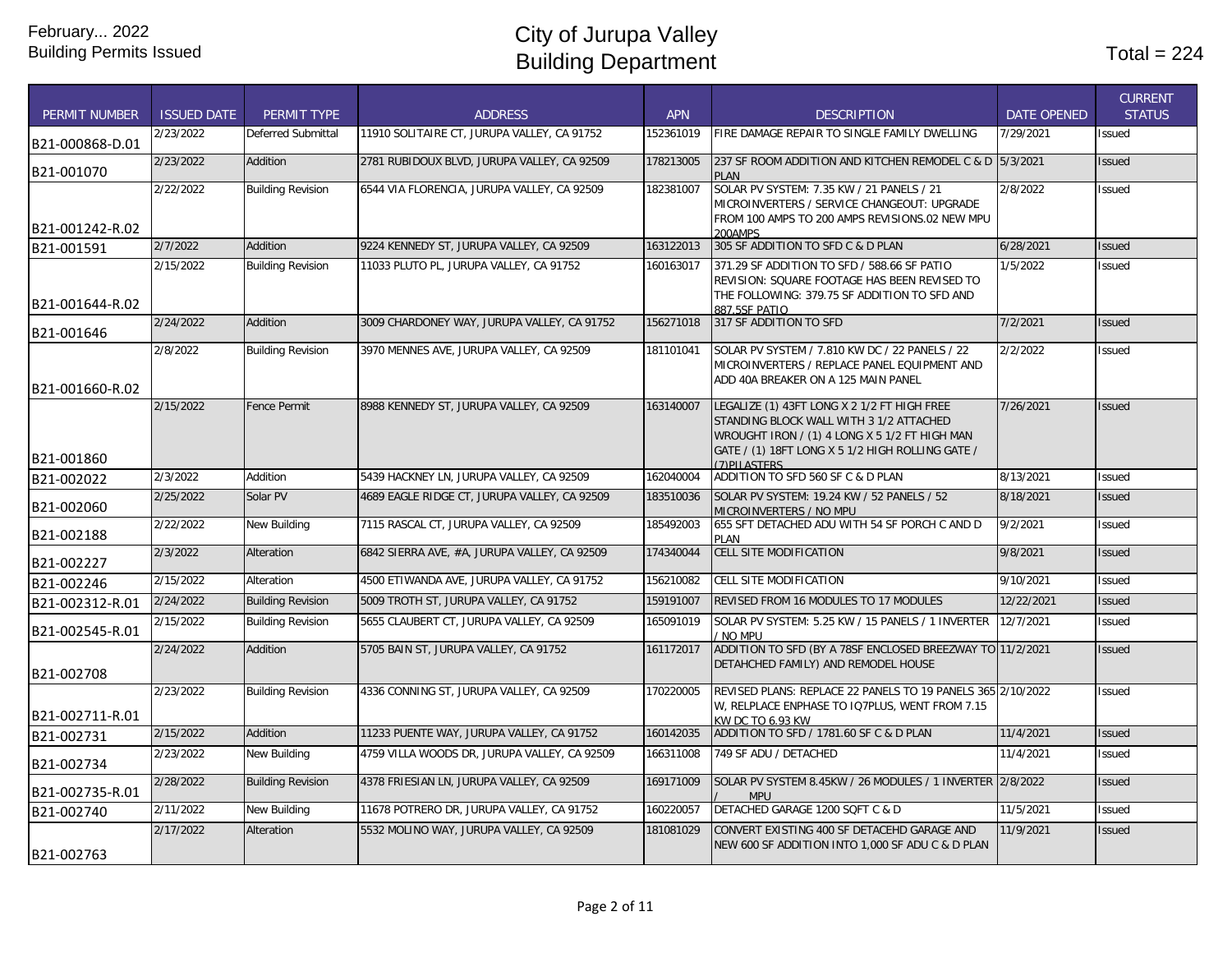| <b>PERMIT NUMBER</b> | <b>ISSUED DATE</b> | PERMIT TYPE              | <b>ADDRESS</b>                               | <b>APN</b> | <b>DESCRIPTION</b>                                                                                                                                                                                           | <b>DATE OPENED</b> | <b>CURRENT</b><br><b>STATUS</b> |
|----------------------|--------------------|--------------------------|----------------------------------------------|------------|--------------------------------------------------------------------------------------------------------------------------------------------------------------------------------------------------------------|--------------------|---------------------------------|
| B21-000868-D.01      | 2/23/2022          | Deferred Submittal       | 11910 SOLITAIRE CT, JURUPA VALLEY, CA 91752  | 152361019  | FIRE DAMAGE REPAIR TO SINGLE FAMILY DWELLING                                                                                                                                                                 | 7/29/2021          | <b>Issued</b>                   |
| B21-001070           | 2/23/2022          | Addition                 | 2781 RUBIDOUX BLVD, JURUPA VALLEY, CA 92509  | 178213005  | 237 SF ROOM ADDITION AND KITCHEN REMODEL C & D 5/3/2021<br><b>PLAN</b>                                                                                                                                       |                    | <b>Issued</b>                   |
| B21-001242-R.02      | 2/22/2022          | <b>Building Revision</b> | 6544 VIA FLORENCIA, JURUPA VALLEY, CA 92509  | 182381007  | SOLAR PV SYSTEM: 7.35 KW / 21 PANELS / 21<br>MICROINVERTERS / SERVICE CHANGEOUT: UPGRADE<br>FROM 100 AMPS TO 200 AMPS REVISIONS.02 NEW MPU<br>200AMPS                                                        | 2/8/2022           | <b>Issued</b>                   |
| B21-001591           | 2/7/2022           | Addition                 | 9224 KENNEDY ST, JURUPA VALLEY, CA 92509     | 163122013  | 305 SF ADDITION TO SFD C & D PLAN                                                                                                                                                                            | 6/28/2021          | <b>Issued</b>                   |
|                      | 2/15/2022          | <b>Building Revision</b> | 11033 PLUTO PL, JURUPA VALLEY, CA 91752      | 160163017  | 371.29 SF ADDITION TO SFD / 588.66 SF PATIO<br>REVISION: SQUARE FOOTAGE HAS BEEN REVISED TO<br>THE FOLLOWING: 379.75 SF ADDITION TO SFD AND                                                                  | 1/5/2022           | Issued                          |
| B21-001644-R.02      | 2/24/2022          | Addition                 | 3009 CHARDONEY WAY, JURUPA VALLEY, CA 91752  | 156271018  | 887 5SE PATIO<br>317 SF ADDITION TO SFD                                                                                                                                                                      | 7/2/2021           |                                 |
| B21-001646           |                    |                          |                                              |            |                                                                                                                                                                                                              |                    | <b>Issued</b>                   |
| B21-001660-R.02      | 2/8/2022           | <b>Building Revision</b> | 3970 MENNES AVE, JURUPA VALLEY, CA 92509     | 181101041  | SOLAR PV SYSTEM / 7.810 KW DC / 22 PANELS / 22<br>MICROINVERTERS / REPLACE PANEL EQUIPMENT AND<br>ADD 40A BREAKER ON A 125 MAIN PANEL                                                                        | 2/2/2022           | Issued                          |
| B21-001860           | 2/15/2022          | <b>Fence Permit</b>      | 8988 KENNEDY ST, JURUPA VALLEY, CA 92509     | 163140007  | LEGALIZE (1) 43FT LONG X 2 1/2 FT HIGH FREE<br>STANDING BLOCK WALL WITH 3 1/2 ATTACHED<br>WROUGHT IRON / (1) 4 LONG X 5 1/2 FT HIGH MAN<br>GATE / (1) 18FT LONG X 5 1/2 HIGH ROLLING GATE /<br>(7) PILASTERS | 7/26/2021          | <b>Issued</b>                   |
| B21-002022           | 2/3/2022           | Addition                 | 5439 HACKNEY LN, JURUPA VALLEY, CA 92509     | 162040004  | ADDITION TO SFD 560 SF C & D PLAN                                                                                                                                                                            | 8/13/2021          | <b>Issued</b>                   |
| B21-002060           | 2/25/2022          | Solar PV                 | 4689 EAGLE RIDGE CT, JURUPA VALLEY, CA 92509 | 183510036  | SOLAR PV SYSTEM: 19.24 KW / 52 PANELS / 52<br>MICROINVERTERS / NO MPU                                                                                                                                        | 8/18/2021          | <b>Issued</b>                   |
| B21-002188           | 2/22/2022          | New Building             | 7115 RASCAL CT, JURUPA VALLEY, CA 92509      | 185492003  | 655 SFT DETACHED ADU WITH 54 SF PORCH C AND D<br><b>PLAN</b>                                                                                                                                                 | 9/2/2021           | Issued                          |
| B21-002227           | 2/3/2022           | Alteration               | 6842 SIERRA AVE, #A, JURUPA VALLEY, CA 92509 | 174340044  | <b>CELL SITE MODIFICATION</b>                                                                                                                                                                                | 9/8/2021           | <b>Issued</b>                   |
| B21-002246           | 2/15/2022          | Alteration               | 4500 ETIWANDA AVE, JURUPA VALLEY, CA 91752   | 156210082  | CELL SITE MODIFICATION                                                                                                                                                                                       | 9/10/2021          | Issued                          |
| B21-002312-R.01      | 2/24/2022          | <b>Building Revision</b> | 5009 TROTH ST, JURUPA VALLEY, CA 91752       | 159191007  | REVISED FROM 16 MODULES TO 17 MODULES                                                                                                                                                                        | 12/22/2021         | <b>Issued</b>                   |
| B21-002545-R.01      | 2/15/2022          | <b>Building Revision</b> | 5655 CLAUBERT CT, JURUPA VALLEY, CA 92509    | 165091019  | SOLAR PV SYSTEM: 5.25 KW / 15 PANELS / 1 INVERTER<br>/ NO MPU                                                                                                                                                | 12/7/2021          | <b>Issued</b>                   |
| B21-002708           | 2/24/2022          | Addition                 | 5705 BAIN ST, JURUPA VALLEY, CA 91752        | 161172017  | ADDITION TO SFD (BY A 78SF ENCLOSED BREEZWAY TO 11/2/2021<br>DETAHCHED FAMILY) AND REMODEL HOUSE                                                                                                             |                    | <b>Issued</b>                   |
| B21-002711-R.01      | 2/23/2022          | <b>Building Revision</b> | 4336 CONNING ST, JURUPA VALLEY, CA 92509     | 170220005  | REVISED PLANS: REPLACE 22 PANELS TO 19 PANELS 365 2/10/2022<br>W, RELPLACE ENPHASE TO IQ7PLUS, WENT FROM 7.15<br>KW DC TO 6.93 KW                                                                            |                    | <b>Issued</b>                   |
| B21-002731           | 2/15/2022          | Addition                 | 11233 PUENTE WAY, JURUPA VALLEY, CA 91752    | 160142035  | ADDITION TO SFD / 1781.60 SF C & D PLAN                                                                                                                                                                      | 11/4/2021          | <b>Issued</b>                   |
| B21-002734           | 2/23/2022          | <b>New Building</b>      | 4759 VILLA WOODS DR, JURUPA VALLEY, CA 92509 | 166311008  | 749 SF ADU / DETACHED                                                                                                                                                                                        | 11/4/2021          | <b>Issued</b>                   |
| B21-002735-R.01      | 2/28/2022          | <b>Building Revision</b> | 4378 FRIESIAN LN, JURUPA VALLEY, CA 92509    | 169171009  | SOLAR PV SYSTEM 8.45KW / 26 MODULES / 1 INVERTER 2/8/2022<br><b>MPU</b>                                                                                                                                      |                    | <b>Issued</b>                   |
| B21-002740           | 2/11/2022          | <b>New Building</b>      | 11678 POTRERO DR, JURUPA VALLEY, CA 91752    | 160220057  | DETACHED GARAGE 1200 SQFT C & D                                                                                                                                                                              | 11/5/2021          | Issued                          |
| B21-002763           | 2/17/2022          | Alteration               | 5532 MOLINO WAY, JURUPA VALLEY, CA 92509     | 181081029  | CONVERT EXISTING 400 SF DETACEHD GARAGE AND<br>NEW 600 SF ADDITION INTO 1,000 SF ADU C & D PLAN                                                                                                              | 11/9/2021          | <b>Issued</b>                   |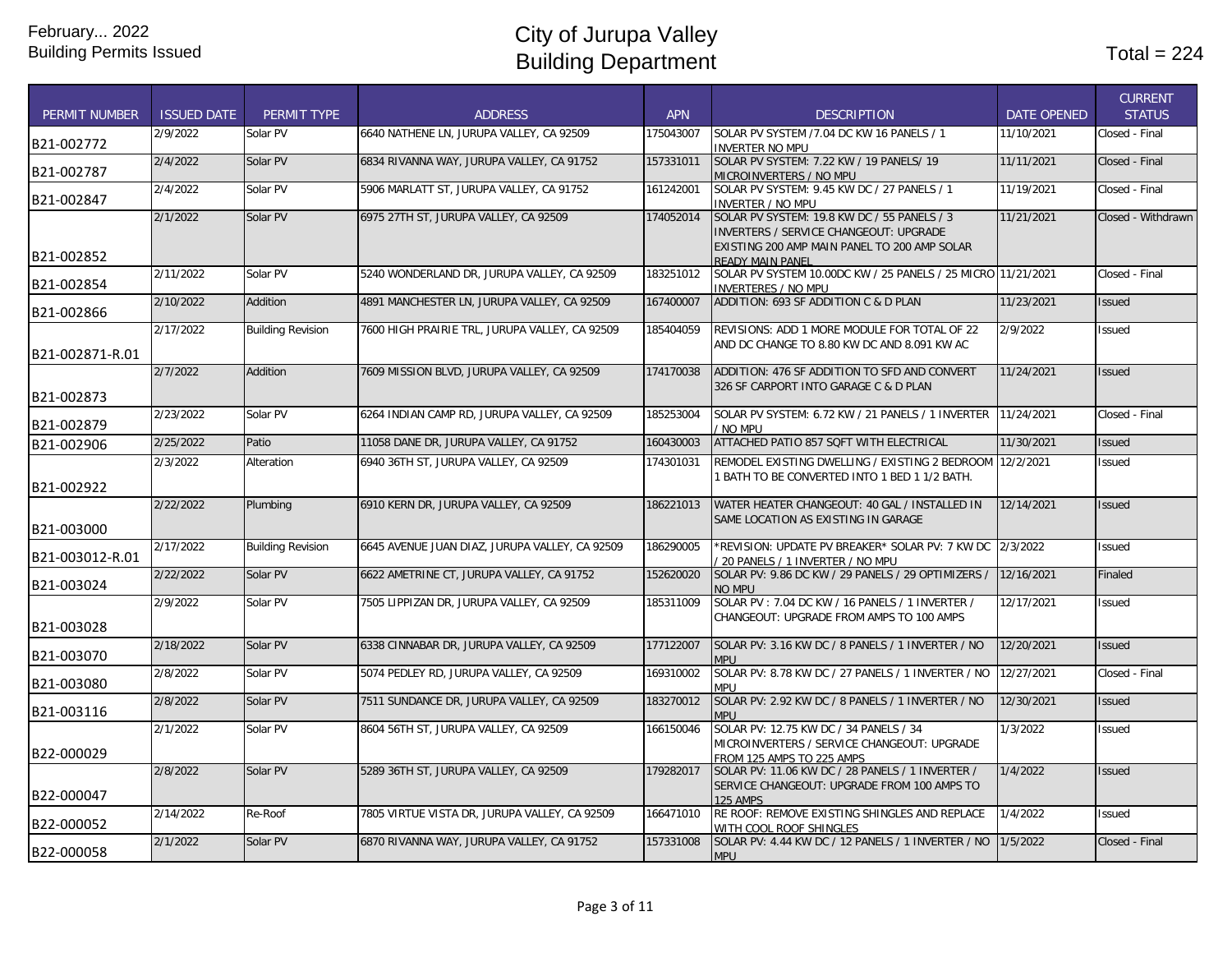| <b>PERMIT NUMBER</b> | <b>ISSUED DATE</b> | PERMIT TYPE              | <b>ADDRESS</b>                                 | <b>APN</b> | <b>DESCRIPTION</b>                                                                                                                           | <b>DATE OPENED</b> | <b>CURRENT</b><br><b>STATUS</b> |
|----------------------|--------------------|--------------------------|------------------------------------------------|------------|----------------------------------------------------------------------------------------------------------------------------------------------|--------------------|---------------------------------|
| B21-002772           | 2/9/2022           | Solar PV                 | 6640 NATHENE LN, JURUPA VALLEY, CA 92509       | 175043007  | SOLAR PV SYSTEM /7.04 DC KW 16 PANELS / 1<br><b>INVERTER NO MPU</b>                                                                          | 11/10/2021         | Closed - Final                  |
| B21-002787           | 2/4/2022           | Solar PV                 | 6834 RIVANNA WAY, JURUPA VALLEY, CA 91752      | 157331011  | SOLAR PV SYSTEM: 7.22 KW / 19 PANELS/ 19<br>MICROINVERTERS / NO MPU                                                                          | 11/11/2021         | Closed - Final                  |
| B21-002847           | 2/4/2022           | Solar PV                 | 5906 MARLATT ST, JURUPA VALLEY, CA 91752       | 161242001  | SOLAR PV SYSTEM: 9.45 KW DC / 27 PANELS / 1<br><b>INVERTER / NO MPU</b>                                                                      | 11/19/2021         | Closed - Final                  |
|                      | 2/1/2022           | Solar PV                 | 6975 27TH ST, JURUPA VALLEY, CA 92509          | 174052014  | SOLAR PV SYSTEM: 19.8 KW DC / 55 PANELS / 3<br><b>INVERTERS / SERVICE CHANGEOUT: UPGRADE</b><br>EXISTING 200 AMP MAIN PANEL TO 200 AMP SOLAR | 11/21/2021         | Closed - Withdrawn              |
| B21-002852           | 2/11/2022          | Solar PV                 | 5240 WONDERLAND DR, JURUPA VALLEY, CA 92509    | 183251012  | READY MAIN PANEL<br>SOLAR PV SYSTEM 10.00DC KW / 25 PANELS / 25 MICRO 11/21/2021                                                             |                    | Closed - Final                  |
| B21-002854           | 2/10/2022          | Addition                 | 4891 MANCHESTER LN, JURUPA VALLEY, CA 92509    | 167400007  | <b>INVERTERES / NO MPU</b><br>ADDITION: 693 SF ADDITION C & D PLAN                                                                           | 11/23/2021         | <b>Issued</b>                   |
| B21-002866           |                    |                          |                                                |            |                                                                                                                                              |                    |                                 |
| B21-002871-R.01      | 2/17/2022          | <b>Building Revision</b> | 7600 HIGH PRAIRIE TRL, JURUPA VALLEY, CA 92509 | 185404059  | REVISIONS: ADD 1 MORE MODULE FOR TOTAL OF 22<br>AND DC CHANGE TO 8.80 KW DC AND 8.091 KW AC                                                  | 2/9/2022           | <b>Issued</b>                   |
| B21-002873           | 2/7/2022           | Addition                 | 7609 MISSION BLVD, JURUPA VALLEY, CA 92509     | 174170038  | ADDITION: 476 SF ADDITION TO SFD AND CONVERT<br>326 SF CARPORT INTO GARAGE C & D PLAN                                                        | 11/24/2021         | <b>Issued</b>                   |
| B21-002879           | 2/23/2022          | Solar PV                 | 6264 INDIAN CAMP RD. JURUPA VALLEY. CA 92509   | 185253004  | SOLAR PV SYSTEM: 6.72 KW / 21 PANELS / 1 INVERTER 11/24/2021<br>NO MPU                                                                       |                    | Closed - Final                  |
| B21-002906           | 2/25/2022          | Patio                    | 11058 DANE DR, JURUPA VALLEY, CA 91752         | 160430003  | ATTACHED PATIO 857 SQFT WITH ELECTRICAL                                                                                                      | 11/30/2021         | <b>Issued</b>                   |
| B21-002922           | 2/3/2022           | Alteration               | 6940 36TH ST, JURUPA VALLEY, CA 92509          | 174301031  | REMODEL EXISTING DWELLING / EXISTING 2 BEDROOM 12/2/2021<br>1 BATH TO BE CONVERTED INTO 1 BED 1 1/2 BATH.                                    |                    | <b>Issued</b>                   |
| B21-003000           | 2/22/2022          | Plumbing                 | 6910 KERN DR, JURUPA VALLEY, CA 92509          | 186221013  | WATER HEATER CHANGEOUT: 40 GAL / INSTALLED IN<br>SAME LOCATION AS EXISTING IN GARAGE                                                         | 12/14/2021         | <b>Issued</b>                   |
| B21-003012-R.01      | 2/17/2022          | <b>Building Revision</b> | 6645 AVENUE JUAN DIAZ, JURUPA VALLEY, CA 92509 | 186290005  | *REVISION: UPDATE PV BREAKER* SOLAR PV: 7 KW DC<br>/ 20 PANELS / 1 INVERTER / NO MPU                                                         | 2/3/2022           | <b>Issued</b>                   |
| B21-003024           | 2/22/2022          | Solar PV                 | 6622 AMETRINE CT, JURUPA VALLEY, CA 91752      | 152620020  | SOLAR PV: 9.86 DC KW / 29 PANELS / 29 OPTIMIZERS /<br><b>NO MPU</b>                                                                          | 12/16/2021         | Finaled                         |
| B21-003028           | 2/9/2022           | Solar PV                 | 7505 LIPPIZAN DR, JURUPA VALLEY, CA 92509      | 185311009  | SOLAR PV: 7.04 DC KW / 16 PANELS / 1 INVERTER /<br>CHANGEOUT: UPGRADE FROM AMPS TO 100 AMPS                                                  | 12/17/2021         | <b>Issued</b>                   |
| B21-003070           | 2/18/2022          | Solar PV                 | 6338 CINNABAR DR, JURUPA VALLEY, CA 92509      | 177122007  | SOLAR PV: 3.16 KW DC / 8 PANELS / 1 INVERTER / NO<br><b>MPU</b>                                                                              | 12/20/2021         | <b>Issued</b>                   |
| B21-003080           | 2/8/2022           | Solar PV                 | 5074 PEDLEY RD, JURUPA VALLEY, CA 92509        | 169310002  | SOLAR PV: 8.78 KW DC / 27 PANELS / 1 INVERTER / NO<br>mpu                                                                                    | 12/27/2021         | Closed - Final                  |
| B21-003116           | 2/8/2022           | Solar PV                 | 7511 SUNDANCE DR, JURUPA VALLEY, CA 92509      | 183270012  | SOLAR PV: 2.92 KW DC / 8 PANELS / 1 INVERTER / NO<br><b>MPU</b>                                                                              | 12/30/2021         | <b>Issued</b>                   |
| B22-000029           | 2/1/2022           | Solar PV                 | 8604 56TH ST, JURUPA VALLEY, CA 92509          | 166150046  | SOLAR PV: 12.75 KW DC / 34 PANELS / 34<br>MICROINVERTERS / SERVICE CHANGEOUT: UPGRADE<br>FROM 125 AMPS TO 225 AMPS                           | 1/3/2022           | Issued                          |
| B22-000047           | 2/8/2022           | Solar PV                 | 5289 36TH ST, JURUPA VALLEY, CA 92509          | 179282017  | SOLAR PV: 11.06 KW DC / 28 PANELS / 1 INVERTER /<br>SERVICE CHANGEOUT: UPGRADE FROM 100 AMPS TO<br><b>125 AMPS</b>                           | 1/4/2022           | <b>Issued</b>                   |
| B22-000052           | 2/14/2022          | Re-Roof                  | 7805 VIRTUE VISTA DR, JURUPA VALLEY, CA 92509  | 166471010  | RE ROOF: REMOVE EXISTING SHINGLES AND REPLACE<br>WITH COOL ROOF SHINGLES                                                                     | 1/4/2022           | Issued                          |
| B22-000058           | 2/1/2022           | Solar PV                 | 6870 RIVANNA WAY, JURUPA VALLEY, CA 91752      | 157331008  | SOLAR PV: 4.44 KW DC / 12 PANELS / 1 INVERTER / NO<br><b>MPU</b>                                                                             | 1/5/2022           | Closed - Final                  |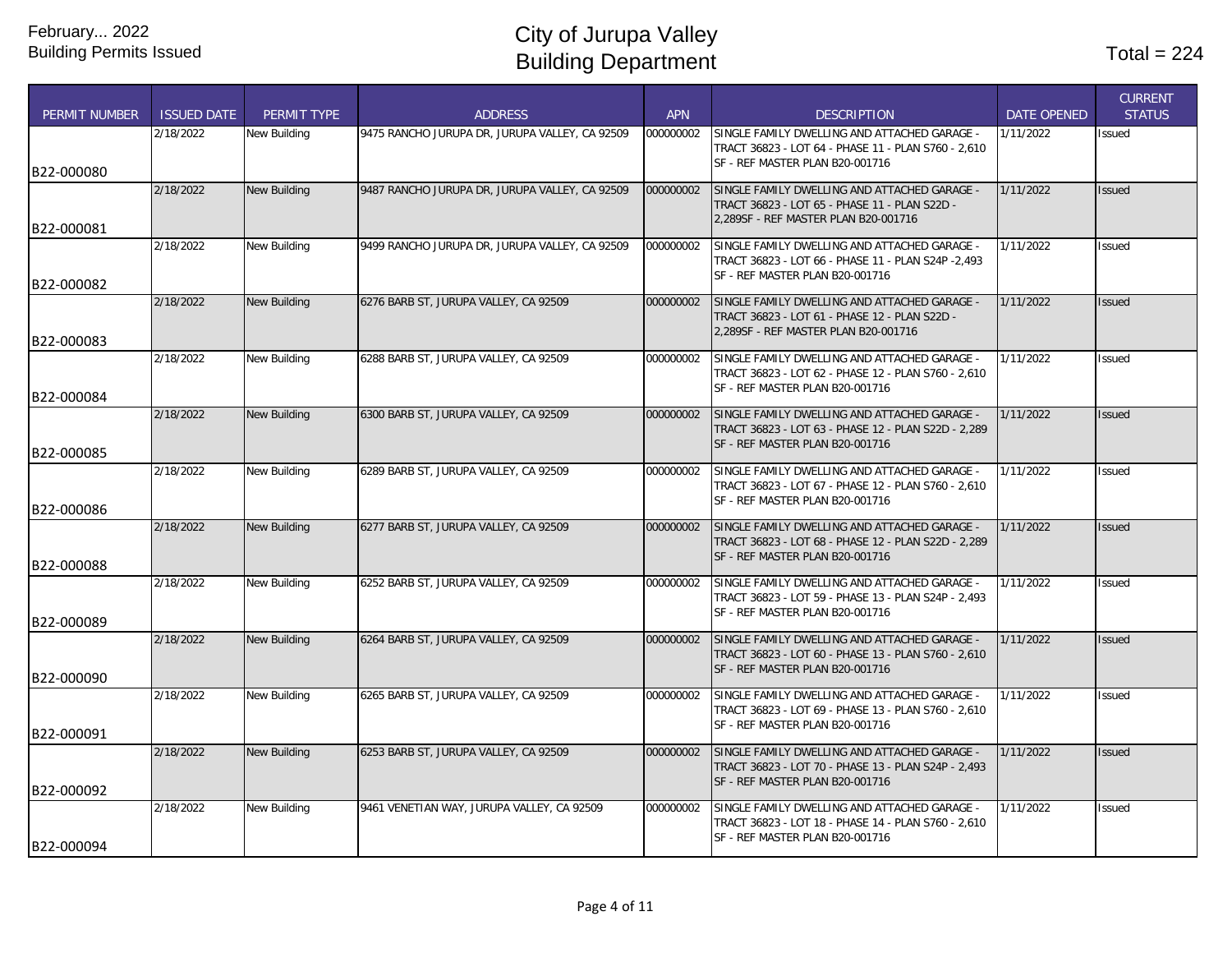| <b>PERMIT NUMBER</b> | <b>ISSUED DATE</b> | PERMIT TYPE         | <b>ADDRESS</b>                                 | <b>APN</b> | <b>DESCRIPTION</b>                                                                                                                     | <b>DATE OPENED</b> | <b>CURRENT</b><br><b>STATUS</b> |
|----------------------|--------------------|---------------------|------------------------------------------------|------------|----------------------------------------------------------------------------------------------------------------------------------------|--------------------|---------------------------------|
|                      | 2/18/2022          | New Building        | 9475 RANCHO JURUPA DR, JURUPA VALLEY, CA 92509 | 000000002  | SINGLE FAMILY DWELLING AND ATTACHED GARAGE -<br>TRACT 36823 - LOT 64 - PHASE 11 - PLAN S760 - 2,610<br>SF - REF MASTER PLAN B20-001716 | 1/11/2022          | Issued                          |
| B22-000080           |                    |                     |                                                |            |                                                                                                                                        |                    |                                 |
| B22-000081           | 2/18/2022          | New Building        | 9487 RANCHO JURUPA DR, JURUPA VALLEY, CA 92509 | 000000002  | SINGLE FAMILY DWELLING AND ATTACHED GARAGE -<br>TRACT 36823 - LOT 65 - PHASE 11 - PLAN S22D -<br>2.289SF - REF MASTER PLAN B20-001716  | 1/11/2022          | <b>Issued</b>                   |
| B22-000082           | 2/18/2022          | New Building        | 9499 RANCHO JURUPA DR, JURUPA VALLEY, CA 92509 | 000000002  | SINGLE FAMILY DWELLING AND ATTACHED GARAGE -<br>TRACT 36823 - LOT 66 - PHASE 11 - PLAN S24P -2,493<br>SF - REF MASTER PLAN B20-001716  | 1/11/2022          | <b>Issued</b>                   |
|                      | 2/18/2022          | New Building        | 6276 BARB ST, JURUPA VALLEY, CA 92509          | 000000002  | SINGLE FAMILY DWELLING AND ATTACHED GARAGE -                                                                                           | 1/11/2022          | <b>Issued</b>                   |
| B22-000083           |                    |                     |                                                |            | TRACT 36823 - LOT 61 - PHASE 12 - PLAN S22D -<br>2,289SF - REF MASTER PLAN B20-001716                                                  |                    |                                 |
| B22-000084           | 2/18/2022          | New Building        | 6288 BARB ST, JURUPA VALLEY, CA 92509          | 000000002  | SINGLE FAMILY DWELLING AND ATTACHED GARAGE -<br>TRACT 36823 - LOT 62 - PHASE 12 - PLAN S760 - 2,610<br>SF - REF MASTER PLAN B20-001716 | 1/11/2022          | Issued                          |
|                      | 2/18/2022          | New Building        | 6300 BARB ST. JURUPA VALLEY. CA 92509          | 000000002  | SINGLE FAMILY DWELLING AND ATTACHED GARAGE -                                                                                           | 1/11/2022          | <b>Issued</b>                   |
| B22-000085           |                    |                     |                                                |            | TRACT 36823 - LOT 63 - PHASE 12 - PLAN S22D - 2,289<br>SF - REF MASTER PLAN B20-001716                                                 |                    |                                 |
|                      | 2/18/2022          | New Building        | 6289 BARB ST, JURUPA VALLEY, CA 92509          | 000000002  | SINGLE FAMILY DWELLING AND ATTACHED GARAGE -                                                                                           | 1/11/2022          | <b>Issued</b>                   |
|                      |                    |                     |                                                |            | TRACT 36823 - LOT 67 - PHASE 12 - PLAN S760 - 2,610<br>SF - REF MASTER PLAN B20-001716                                                 |                    |                                 |
| B22-000086           |                    |                     |                                                |            |                                                                                                                                        |                    |                                 |
| B22-000088           | 2/18/2022          | <b>New Building</b> | 6277 BARB ST, JURUPA VALLEY, CA 92509          | 000000002  | SINGLE FAMILY DWELLING AND ATTACHED GARAGE -<br>TRACT 36823 - LOT 68 - PHASE 12 - PLAN S22D - 2,289<br>SF - REF MASTER PLAN B20-001716 | 1/11/2022          | <b>Issued</b>                   |
|                      | 2/18/2022          | New Building        | 6252 BARB ST, JURUPA VALLEY, CA 92509          | 000000002  | SINGLE FAMILY DWELLING AND ATTACHED GARAGE -                                                                                           | 1/11/2022          | Issued                          |
|                      |                    |                     |                                                |            | TRACT 36823 - LOT 59 - PHASE 13 - PLAN S24P - 2,493<br>SF - REF MASTER PLAN B20-001716                                                 |                    |                                 |
| B22-000089           |                    |                     |                                                |            |                                                                                                                                        |                    |                                 |
| B22-000090           | 2/18/2022          | New Building        | 6264 BARB ST, JURUPA VALLEY, CA 92509          | 000000002  | SINGLE FAMILY DWELLING AND ATTACHED GARAGE -<br>TRACT 36823 - LOT 60 - PHASE 13 - PLAN S760 - 2,610<br>SF - REF MASTER PLAN B20-001716 | 1/11/2022          | <b>Issued</b>                   |
|                      | 2/18/2022          | New Building        | 6265 BARB ST, JURUPA VALLEY, CA 92509          | 000000002  | SINGLE FAMILY DWELLING AND ATTACHED GARAGE -                                                                                           | 1/11/2022          | Issued                          |
|                      |                    |                     |                                                |            | TRACT 36823 - LOT 69 - PHASE 13 - PLAN S760 - 2,610<br>SF - REF MASTER PLAN B20-001716                                                 |                    |                                 |
| B22-000091           | 2/18/2022          | <b>New Building</b> | 6253 BARB ST, JURUPA VALLEY, CA 92509          | 000000002  | SINGLE FAMILY DWELLING AND ATTACHED GARAGE -                                                                                           | 1/11/2022          | <b>Issued</b>                   |
|                      |                    |                     |                                                |            | TRACT 36823 - LOT 70 - PHASE 13 - PLAN S24P - 2,493<br>SF - REF MASTER PLAN B20-001716                                                 |                    |                                 |
| B22-000092           | 2/18/2022          |                     |                                                |            |                                                                                                                                        | 1/11/2022          |                                 |
|                      |                    | New Building        | 9461 VENETIAN WAY, JURUPA VALLEY, CA 92509     | 000000002  | SINGLE FAMILY DWELLING AND ATTACHED GARAGE -<br>TRACT 36823 - LOT 18 - PHASE 14 - PLAN S760 - 2,610<br>SF - REF MASTER PLAN B20-001716 |                    | Issued                          |
| B22-000094           |                    |                     |                                                |            |                                                                                                                                        |                    |                                 |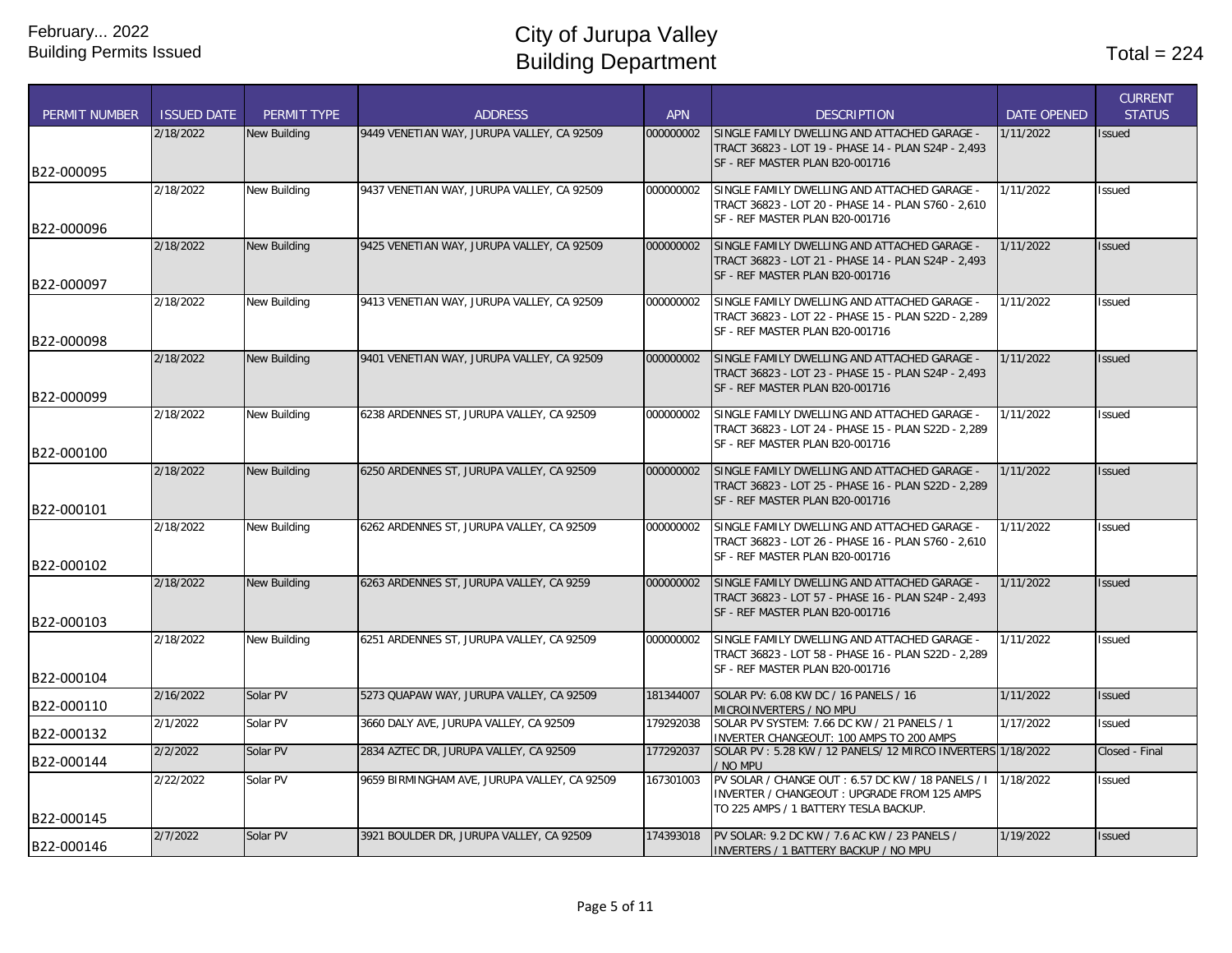| PERMIT NUMBER | <b>ISSUED DATE</b> | PERMIT TYPE         | <b>ADDRESS</b>                               | <b>APN</b> | <b>DESCRIPTION</b>                                                                                  | <b>DATE OPENED</b> | <b>CURRENT</b><br><b>STATUS</b> |
|---------------|--------------------|---------------------|----------------------------------------------|------------|-----------------------------------------------------------------------------------------------------|--------------------|---------------------------------|
|               | 2/18/2022          | <b>New Building</b> | 9449 VENETIAN WAY, JURUPA VALLEY, CA 92509   | 000000002  | SINGLE FAMILY DWELLING AND ATTACHED GARAGE -                                                        | 1/11/2022          | <b>Issued</b>                   |
|               |                    |                     |                                              |            | TRACT 36823 - LOT 19 - PHASE 14 - PLAN S24P - 2,493<br>SF - REF MASTER PLAN B20-001716              |                    |                                 |
| B22-000095    |                    |                     |                                              |            |                                                                                                     |                    |                                 |
|               | 2/18/2022          | <b>New Building</b> | 9437 VENETIAN WAY, JURUPA VALLEY, CA 92509   | 000000002  | SINGLE FAMILY DWELLING AND ATTACHED GARAGE -                                                        | 1/11/2022          | Issued                          |
|               |                    |                     |                                              |            | TRACT 36823 - LOT 20 - PHASE 14 - PLAN S760 - 2,610<br>SF - REF MASTER PLAN B20-001716              |                    |                                 |
| B22-000096    |                    |                     |                                              |            |                                                                                                     |                    |                                 |
|               | 2/18/2022          | <b>New Building</b> | 9425 VENETIAN WAY, JURUPA VALLEY, CA 92509   | 000000002  | SINGLE FAMILY DWELLING AND ATTACHED GARAGE -                                                        | 1/11/2022          | <b>Issued</b>                   |
|               |                    |                     |                                              |            | TRACT 36823 - LOT 21 - PHASE 14 - PLAN S24P - 2,493                                                 |                    |                                 |
| B22-000097    |                    |                     |                                              |            | SF - REF MASTER PLAN B20-001716                                                                     |                    |                                 |
|               | 2/18/2022          | <b>New Building</b> | 9413 VENETIAN WAY, JURUPA VALLEY, CA 92509   | 000000002  | SINGLE FAMILY DWELLING AND ATTACHED GARAGE -                                                        | 1/11/2022          | Issued                          |
|               |                    |                     |                                              |            | TRACT 36823 - LOT 22 - PHASE 15 - PLAN S22D - 2,289                                                 |                    |                                 |
| B22-000098    |                    |                     |                                              |            | SF - REF MASTER PLAN B20-001716                                                                     |                    |                                 |
|               | 2/18/2022          | <b>New Building</b> | 9401 VENETIAN WAY, JURUPA VALLEY, CA 92509   | 000000002  | SINGLE FAMILY DWELLING AND ATTACHED GARAGE -                                                        | 1/11/2022          | Issued                          |
|               |                    |                     |                                              |            | TRACT 36823 - LOT 23 - PHASE 15 - PLAN S24P - 2,493                                                 |                    |                                 |
| B22-000099    |                    |                     |                                              |            | SF - REF MASTER PLAN B20-001716                                                                     |                    |                                 |
|               | 2/18/2022          | <b>New Building</b> | 6238 ARDENNES ST, JURUPA VALLEY, CA 92509    | 000000002  | SINGLE FAMILY DWELLING AND ATTACHED GARAGE -                                                        | 1/11/2022          | Issued                          |
|               |                    |                     |                                              |            | TRACT 36823 - LOT 24 - PHASE 15 - PLAN S22D - 2,289                                                 |                    |                                 |
| B22-000100    |                    |                     |                                              |            | SF - REF MASTER PLAN B20-001716                                                                     |                    |                                 |
|               | 2/18/2022          | <b>New Building</b> | 6250 ARDENNES ST, JURUPA VALLEY, CA 92509    | 000000002  | SINGLE FAMILY DWELLING AND ATTACHED GARAGE -                                                        | 1/11/2022          | Issued                          |
|               |                    |                     |                                              |            | TRACT 36823 - LOT 25 - PHASE 16 - PLAN S22D - 2,289                                                 |                    |                                 |
| B22-000101    |                    |                     |                                              |            | SF - REF MASTER PLAN B20-001716                                                                     |                    |                                 |
|               | 2/18/2022          | <b>New Building</b> | 6262 ARDENNES ST, JURUPA VALLEY, CA 92509    | 000000002  | SINGLE FAMILY DWELLING AND ATTACHED GARAGE -                                                        | 1/11/2022          | <b>Issued</b>                   |
|               |                    |                     |                                              |            | TRACT 36823 - LOT 26 - PHASE 16 - PLAN S760 - 2,610                                                 |                    |                                 |
| B22-000102    |                    |                     |                                              |            | SF - REF MASTER PLAN B20-001716                                                                     |                    |                                 |
|               | 2/18/2022          | <b>New Building</b> | 6263 ARDENNES ST, JURUPA VALLEY, CA 9259     | 000000002  | SINGLE FAMILY DWELLING AND ATTACHED GARAGE -                                                        | 1/11/2022          | Issued                          |
|               |                    |                     |                                              |            | TRACT 36823 - LOT 57 - PHASE 16 - PLAN S24P - 2,493                                                 |                    |                                 |
|               |                    |                     |                                              |            | SF - REF MASTER PLAN B20-001716                                                                     |                    |                                 |
| B22-000103    |                    |                     |                                              |            |                                                                                                     |                    |                                 |
|               | 2/18/2022          | <b>New Building</b> | 6251 ARDENNES ST, JURUPA VALLEY, CA 92509    | 000000002  | SINGLE FAMILY DWELLING AND ATTACHED GARAGE -<br>TRACT 36823 - LOT 58 - PHASE 16 - PLAN S22D - 2,289 | 1/11/2022          | <b>Issued</b>                   |
|               |                    |                     |                                              |            | SF - REF MASTER PLAN B20-001716                                                                     |                    |                                 |
| B22-000104    |                    |                     |                                              |            |                                                                                                     |                    |                                 |
| B22-000110    | 2/16/2022          | Solar PV            | 5273 QUAPAW WAY, JURUPA VALLEY, CA 92509     | 181344007  | SOLAR PV: 6.08 KW DC / 16 PANELS / 16<br>MICROINVERTERS / NO MPU                                    | 1/11/2022          | <b>Issued</b>                   |
|               | 2/1/2022           | Solar PV            | 3660 DALY AVE, JURUPA VALLEY, CA 92509       | 179292038  | SOLAR PV SYSTEM: 7.66 DC KW / 21 PANELS / 1                                                         | 1/17/2022          | Issued                          |
| B22-000132    |                    |                     |                                              |            | <b>INVERTER CHANGEOUT: 100 AMPS TO 200 AMPS</b>                                                     |                    |                                 |
| B22-000144    | 2/2/2022           | Solar PV            | 2834 AZTEC DR, JURUPA VALLEY, CA 92509       | 177292037  | SOLAR PV: 5.28 KW / 12 PANELS/ 12 MIRCO INVERTERS 1/18/2022                                         |                    | Closed - Final                  |
|               | 2/22/2022          | Solar PV            | 9659 BIRMINGHAM AVE, JURUPA VALLEY, CA 92509 | 167301003  | NO MPU<br>PV SOLAR / CHANGE OUT: 6.57 DC KW / 18 PANELS / I                                         | 1/18/2022          | Issued                          |
|               |                    |                     |                                              |            | INVERTER / CHANGEOUT : UPGRADE FROM 125 AMPS                                                        |                    |                                 |
| B22-000145    |                    |                     |                                              |            | TO 225 AMPS / 1 BATTERY TESLA BACKUP.                                                               |                    |                                 |
|               | 2/7/2022           | Solar PV            | 3921 BOULDER DR, JURUPA VALLEY, CA 92509     | 174393018  | PV SOLAR: 9.2 DC KW / 7.6 AC KW / 23 PANELS /                                                       | 1/19/2022          | <b>Issued</b>                   |
| B22-000146    |                    |                     |                                              |            | <b>INVERTERS / 1 BATTERY BACKUP / NO MPU</b>                                                        |                    |                                 |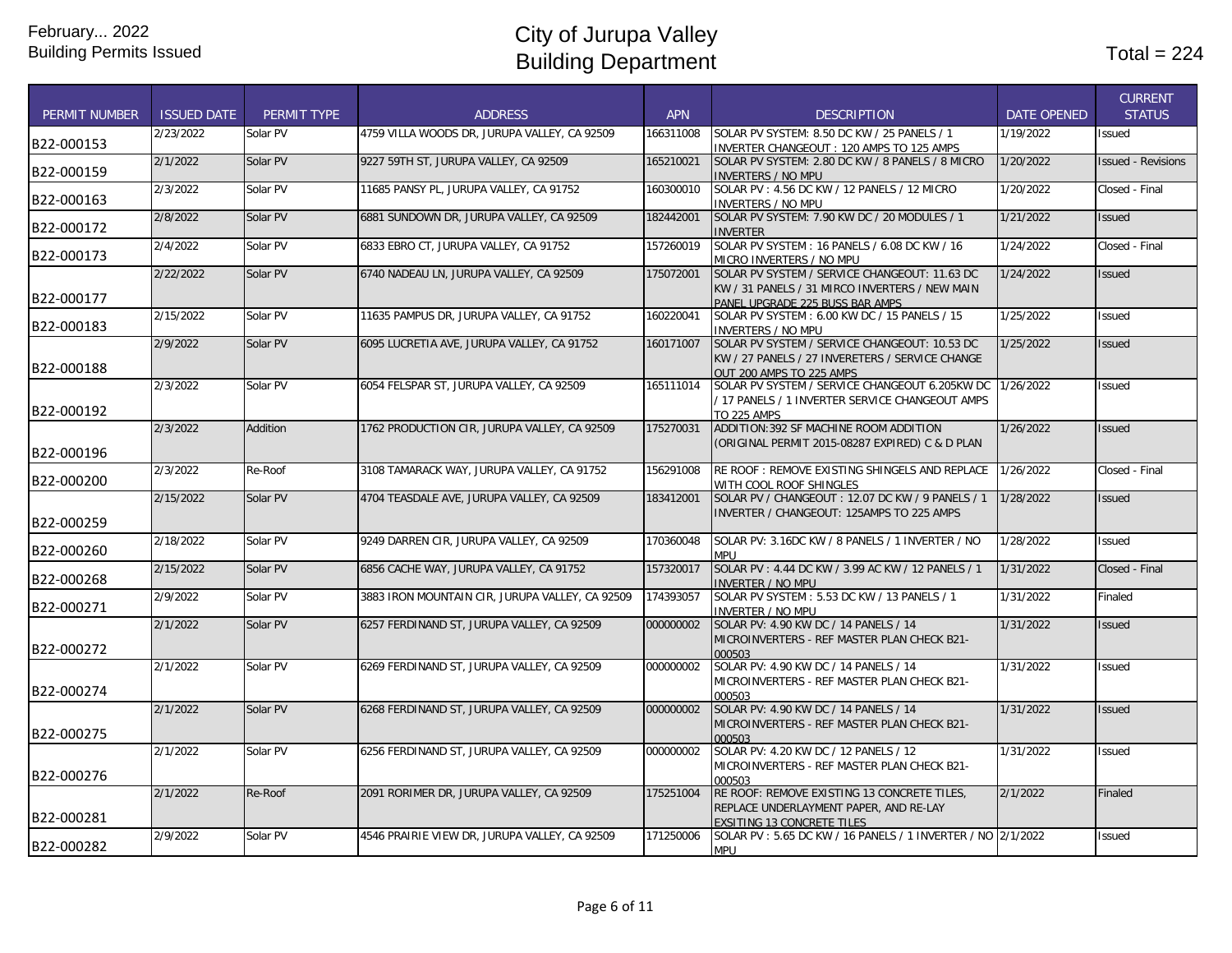| <b>PERMIT NUMBER</b> | <b>ISSUED DATE</b> | PERMIT TYPE | <b>ADDRESS</b>                                  | <b>APN</b> | <b>DESCRIPTION</b>                                                                                                                 | <b>DATE OPENED</b> | <b>CURRENT</b><br><b>STATUS</b> |
|----------------------|--------------------|-------------|-------------------------------------------------|------------|------------------------------------------------------------------------------------------------------------------------------------|--------------------|---------------------------------|
| B22-000153           | 2/23/2022          | Solar PV    | 4759 VILLA WOODS DR, JURUPA VALLEY, CA 92509    | 166311008  | SOLAR PV SYSTEM: 8.50 DC KW / 25 PANELS / 1<br>INVERTER CHANGEOUT: 120 AMPS TO 125 AMPS                                            | 1/19/2022          | <b>Issued</b>                   |
| B22-000159           | 2/1/2022           | Solar PV    | 9227 59TH ST, JURUPA VALLEY, CA 92509           | 165210021  | SOLAR PV SYSTEM: 2.80 DC KW / 8 PANELS / 8 MICRO<br><b>INVERTERS / NO MPU</b>                                                      | 1/20/2022          | <b>Issued - Revisions</b>       |
| B22-000163           | 2/3/2022           | Solar PV    | 11685 PANSY PL, JURUPA VALLEY, CA 91752         | 160300010  | SOLAR PV: 4.56 DC KW / 12 PANELS / 12 MICRO<br><b>INVERTERS / NO MPU</b>                                                           | 1/20/2022          | Closed - Final                  |
| B22-000172           | 2/8/2022           | Solar PV    | 6881 SUNDOWN DR, JURUPA VALLEY, CA 92509        | 182442001  | SOLAR PV SYSTEM: 7.90 KW DC / 20 MODULES / 1<br><b>INVERTER</b>                                                                    | 1/21/2022          | <b>Issued</b>                   |
| B22-000173           | 2/4/2022           | Solar PV    | 6833 EBRO CT. JURUPA VALLEY. CA 91752           | 157260019  | SOLAR PV SYSTEM: 16 PANELS / 6.08 DC KW / 16<br>MICRO INVERTERS / NO MPU                                                           | 1/24/2022          | Closed - Final                  |
| B22-000177           | 2/22/2022          | Solar PV    | 6740 NADEAU LN, JURUPA VALLEY, CA 92509         | 175072001  | SOLAR PV SYSTEM / SERVICE CHANGEOUT: 11.63 DC<br>KW / 31 PANELS / 31 MIRCO INVERTERS / NEW MAIN<br>PANEL UPGRADE 225 BUSS BAR AMPS | 1/24/2022          | <b>Issued</b>                   |
| B22-000183           | 2/15/2022          | Solar PV    | 11635 PAMPUS DR, JURUPA VALLEY, CA 91752        | 160220041  | SOLAR PV SYSTEM: 6.00 KW DC / 15 PANELS / 15<br><b>INVERTERS / NO MPU</b>                                                          | 1/25/2022          | Issued                          |
| B22-000188           | 2/9/2022           | Solar PV    | 6095 LUCRETIA AVE, JURUPA VALLEY, CA 91752      | 160171007  | SOLAR PV SYSTEM / SERVICE CHANGEOUT: 10.53 DC<br>KW / 27 PANELS / 27 INVERETERS / SERVICE CHANGE<br>OUT 200 AMPS TO 225 AMPS       | 1/25/2022          | <b>Issued</b>                   |
| B22-000192           | 2/3/2022           | Solar PV    | 6054 FELSPAR ST, JURUPA VALLEY, CA 92509        | 165111014  | SOLAR PV SYSTEM / SERVICE CHANGEOUT 6.205KW DC<br>/ 17 PANELS / 1 INVERTER SERVICE CHANGEOUT AMPS<br><b>TO 225 AMPS</b>            | 1/26/2022          | <b>Issued</b>                   |
| B22-000196           | 2/3/2022           | Addition    | 1762 PRODUCTION CIR, JURUPA VALLEY, CA 92509    | 175270031  | ADDITION: 392 SF MACHINE ROOM ADDITION<br>(ORIGINAL PERMIT 2015-08287 EXPIRED) C & D PLAN                                          | 1/26/2022          | <b>Issued</b>                   |
| B22-000200           | 2/3/2022           | Re-Roof     | 3108 TAMARACK WAY, JURUPA VALLEY, CA 91752      | 156291008  | RE ROOF: REMOVE EXISTING SHINGELS AND REPLACE<br>WITH COOL ROOF SHINGLES                                                           | 1/26/2022          | Closed - Final                  |
| B22-000259           | 2/15/2022          | Solar PV    | 4704 TEASDALE AVE, JURUPA VALLEY, CA 92509      | 183412001  | SOLAR PV / CHANGEOUT: 12.07 DC KW / 9 PANELS / 1<br>INVERTER / CHANGEOUT: 125AMPS TO 225 AMPS                                      | 1/28/2022          | <b>Issued</b>                   |
| B22-000260           | 2/18/2022          | Solar PV    | 9249 DARREN CIR, JURUPA VALLEY, CA 92509        | 170360048  | SOLAR PV: 3.16DC KW / 8 PANELS / 1 INVERTER / NO<br><b>MPU</b>                                                                     | 1/28/2022          | <b>Issued</b>                   |
| B22-000268           | 2/15/2022          | Solar PV    | 6856 CACHE WAY, JURUPA VALLEY, CA 91752         | 157320017  | SOLAR PV: 4.44 DC KW / 3.99 AC KW / 12 PANELS / 1<br><b>INVERTER / NO MPU</b>                                                      | 1/31/2022          | Closed - Final                  |
| B22-000271           | 2/9/2022           | Solar PV    | 3883 IRON MOUNTAIN CIR, JURUPA VALLEY, CA 92509 | 174393057  | SOLAR PV SYSTEM: 5.53 DC KW / 13 PANELS / 1<br><b>INVERTER / NO MPU</b>                                                            | 1/31/2022          | Finaled                         |
| B22-000272           | 2/1/2022           | Solar PV    | 6257 FERDINAND ST, JURUPA VALLEY, CA 92509      | 000000002  | SOLAR PV: 4.90 KW DC / 14 PANELS / 14<br>MICROINVERTERS - REF MASTER PLAN CHECK B21-<br>000503                                     | 1/31/2022          | <b>Issued</b>                   |
| B22-000274           | 2/1/2022           | Solar PV    | 6269 FERDINAND ST, JURUPA VALLEY, CA 92509      | 000000002  | SOLAR PV: 4.90 KW DC / 14 PANELS / 14<br>MICROINVERTERS - REF MASTER PLAN CHECK B21-<br>000503                                     | 1/31/2022          | <b>Issued</b>                   |
| B22-000275           | 2/1/2022           | Solar PV    | 6268 FERDINAND ST, JURUPA VALLEY, CA 92509      | 000000002  | SOLAR PV: 4.90 KW DC / 14 PANELS / 14<br><b>MICROINVERTERS - REF MASTER PLAN CHECK B21-</b><br>000503                              | 1/31/2022          | <b>Issued</b>                   |
| B22-000276           | 2/1/2022           | Solar PV    | 6256 FERDINAND ST. JURUPA VALLEY. CA 92509      | 000000002  | SOLAR PV: 4.20 KW DC / 12 PANELS / 12<br>MICROINVERTERS - REF MASTER PLAN CHECK B21-<br>000503                                     | 1/31/2022          | <b>Issued</b>                   |
| B22-000281           | 2/1/2022           | Re-Roof     | 2091 RORIMER DR, JURUPA VALLEY, CA 92509        | 175251004  | RE ROOF: REMOVE EXISTING 13 CONCRETE TILES,<br>REPLACE UNDERLAYMENT PAPER, AND RE-LAY<br><b>EXSITING 13 CONCRETE TILES</b>         | 2/1/2022           | Finaled                         |
| B22-000282           | 2/9/2022           | Solar PV    | 4546 PRAIRIE VIEW DR, JURUPA VALLEY, CA 92509   | 171250006  | SOLAR PV: 5.65 DC KW / 16 PANELS / 1 INVERTER / NO 2/1/2022<br><b>MPU</b>                                                          |                    | Issued                          |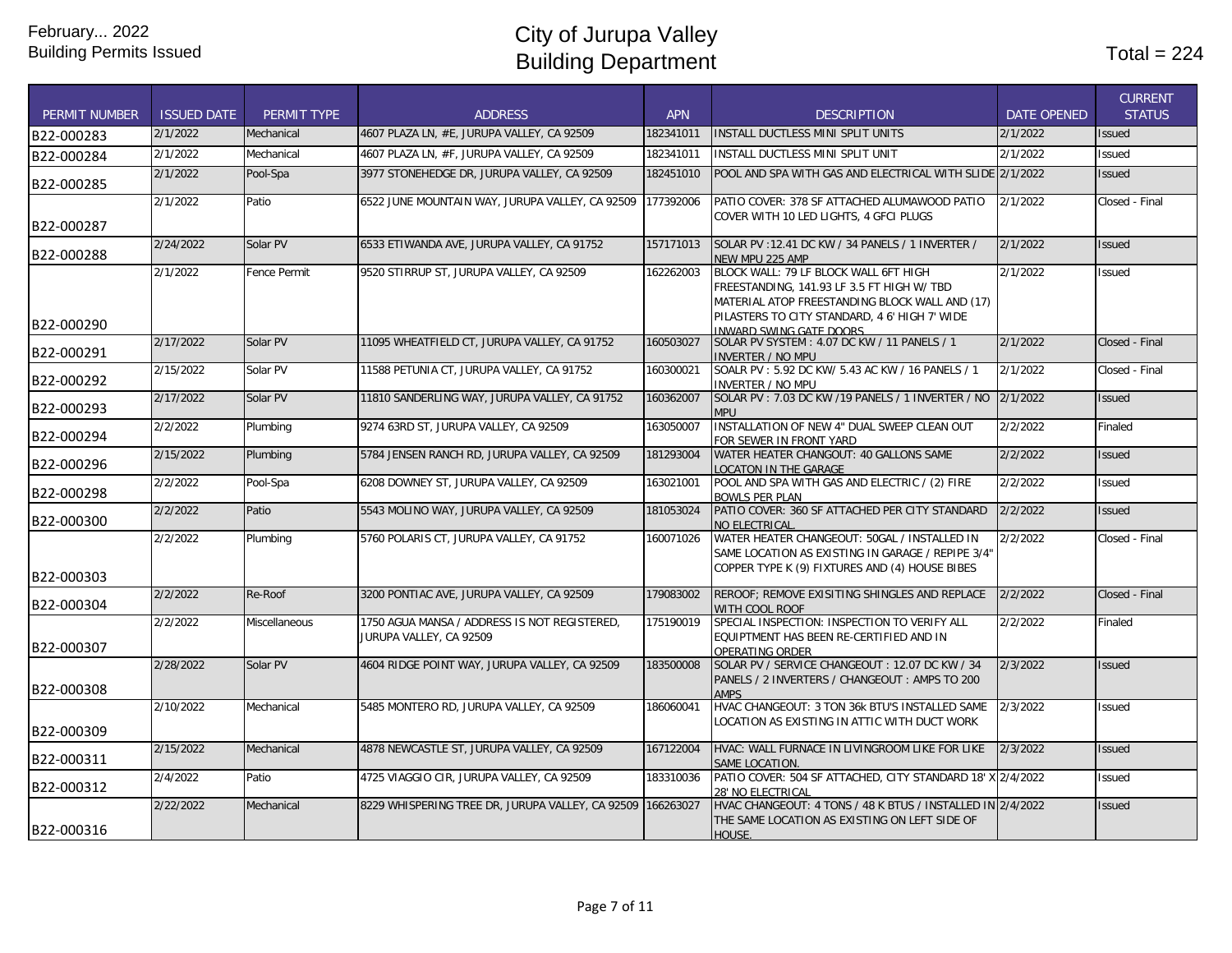| <b>PERMIT NUMBER</b> | <b>ISSUED DATE</b> | PERMIT TYPE         | <b>ADDRESS</b>                                                          | <b>APN</b> | <b>DESCRIPTION</b>                                                                                                                                                                                                | <b>DATE OPENED</b> | <b>CURRENT</b><br><b>STATUS</b> |
|----------------------|--------------------|---------------------|-------------------------------------------------------------------------|------------|-------------------------------------------------------------------------------------------------------------------------------------------------------------------------------------------------------------------|--------------------|---------------------------------|
| B22-000283           | 2/1/2022           | Mechanical          | 4607 PLAZA LN. #E. JURUPA VALLEY. CA 92509                              | 182341011  | <b>INSTALL DUCTLESS MINI SPLIT UNITS</b>                                                                                                                                                                          | 2/1/2022           | <b>Issued</b>                   |
| B22-000284           | 2/1/2022           | Mechanical          | 4607 PLAZA LN, #F, JURUPA VALLEY, CA 92509                              | 182341011  | INSTALL DUCTLESS MINI SPLIT UNIT                                                                                                                                                                                  | 2/1/2022           | Issued                          |
| B22-000285           | 2/1/2022           | Pool-Spa            | 3977 STONEHEDGE DR, JURUPA VALLEY, CA 92509                             | 182451010  | POOL AND SPA WITH GAS AND ELECTRICAL WITH SLIDE 2/1/2022                                                                                                                                                          |                    | <b>Issued</b>                   |
|                      | 2/1/2022           | Patio               | 6522 JUNE MOUNTAIN WAY, JURUPA VALLEY, CA 92509                         | 177392006  | PATIO COVER: 378 SF ATTACHED ALUMAWOOD PATIO                                                                                                                                                                      | 2/1/2022           | Closed - Final                  |
| B22-000287           |                    |                     |                                                                         |            | COVER WITH 10 LED LIGHTS, 4 GFCI PLUGS                                                                                                                                                                            |                    |                                 |
| B22-000288           | 2/24/2022          | Solar PV            | 6533 ETIWANDA AVE, JURUPA VALLEY, CA 91752                              | 157171013  | SOLAR PV: 12.41 DC KW / 34 PANELS / 1 INVERTER /<br>NEW MPU 225 AMP                                                                                                                                               | 2/1/2022           | <b>Issued</b>                   |
| B22-000290           | 2/1/2022           | <b>Fence Permit</b> | 9520 STIRRUP ST, JURUPA VALLEY, CA 92509                                | 162262003  | BLOCK WALL: 79 LF BLOCK WALL 6FT HIGH<br>FREESTANDING, 141.93 LF 3.5 FT HIGH W/ TBD<br>MATERIAL ATOP FREESTANDING BLOCK WALL AND (17)<br>PILASTERS TO CITY STANDARD, 4 6' HIGH 7' WIDE<br>INWARD SWING GATE DOORS | 2/1/2022           | Issued                          |
| B22-000291           | 2/17/2022          | Solar PV            | 11095 WHEATFIELD CT, JURUPA VALLEY, CA 91752                            | 160503027  | SOLAR PV SYSTEM: 4.07 DC KW / 11 PANELS / 1<br><b>INVERTER / NO MPU</b>                                                                                                                                           | 2/1/2022           | Closed - Final                  |
| B22-000292           | 2/15/2022          | Solar PV            | 11588 PETUNIA CT, JURUPA VALLEY, CA 91752                               | 160300021  | SOALR PV: 5.92 DC KW/ 5.43 AC KW / 16 PANELS / 1<br><b>INVERTER / NO MPU</b>                                                                                                                                      | 2/1/2022           | Closed - Final                  |
| B22-000293           | 2/17/2022          | Solar PV            | 11810 SANDERLING WAY, JURUPA VALLEY, CA 91752                           | 160362007  | SOLAR PV: 7.03 DC KW /19 PANELS / 1 INVERTER / NO<br><b>MPU</b>                                                                                                                                                   | 2/1/2022           | <b>Issued</b>                   |
| B22-000294           | 2/2/2022           | Plumbing            | 9274 63RD ST, JURUPA VALLEY, CA 92509                                   | 163050007  | INSTALLATION OF NEW 4" DUAL SWEEP CLEAN OUT<br>FOR SEWER IN FRONT YARD                                                                                                                                            | 2/2/2022           | Finaled                         |
| B22-000296           | 2/15/2022          | Plumbing            | 5784 JENSEN RANCH RD, JURUPA VALLEY, CA 92509                           | 181293004  | WATER HEATER CHANGOUT: 40 GALLONS SAME<br><b>LOCATON IN THE GARAGE</b>                                                                                                                                            | 2/2/2022           | <b>Issued</b>                   |
| B22-000298           | 2/2/2022           | Pool-Spa            | 6208 DOWNEY ST, JURUPA VALLEY, CA 92509                                 | 163021001  | POOL AND SPA WITH GAS AND ELECTRIC / (2) FIRE<br><b>BOWLS PER PLAN</b>                                                                                                                                            | 2/2/2022           | Issued                          |
| B22-000300           | 2/2/2022           | Patio               | 5543 MOLINO WAY, JURUPA VALLEY, CA 92509                                | 181053024  | PATIO COVER: 360 SF ATTACHED PER CITY STANDARD<br>NO ELECTRICAL                                                                                                                                                   | 2/2/2022           | <b>Issued</b>                   |
| B22-000303           | 2/2/2022           | Plumbing            | 5760 POLARIS CT, JURUPA VALLEY, CA 91752                                | 160071026  | WATER HEATER CHANGEOUT: 50GAL / INSTALLED IN<br>SAME LOCATION AS EXISTING IN GARAGE / REPIPE 3/4"<br>COPPER TYPE K (9) FIXTURES AND (4) HOUSE BIBES                                                               | 2/2/2022           | Closed - Final                  |
| B22-000304           | 2/2/2022           | Re-Roof             | 3200 PONTIAC AVE, JURUPA VALLEY, CA 92509                               | 179083002  | REROOF; REMOVE EXISITING SHINGLES AND REPLACE<br>WITH COOL ROOF                                                                                                                                                   | 2/2/2022           | Closed - Final                  |
| B22-000307           | 2/2/2022           | Miscellaneous       | 1750 AGUA MANSA / ADDRESS IS NOT REGISTERED,<br>JURUPA VALLEY, CA 92509 | 175190019  | SPECIAL INSPECTION: INSPECTION TO VERIFY ALL<br>EQUIPTMENT HAS BEEN RE-CERTIFIED AND IN<br>OPERATING ORDER                                                                                                        | 2/2/2022           | Finaled                         |
| B22-000308           | 2/28/2022          | Solar PV            | 4604 RIDGE POINT WAY, JURUPA VALLEY, CA 92509                           | 183500008  | SOLAR PV / SERVICE CHANGEOUT: 12.07 DC KW / 34<br>PANELS / 2 INVERTERS / CHANGEOUT: AMPS TO 200<br><b>AMPS</b>                                                                                                    | 2/3/2022           | <b>Issued</b>                   |
|                      | 2/10/2022          | Mechanical          | 5485 MONTERO RD, JURUPA VALLEY, CA 92509                                | 186060041  | HVAC CHANGEOUT: 3 TON 36k BTU'S INSTALLED SAME<br>LOCATION AS EXISTING IN ATTIC WITH DUCT WORK                                                                                                                    | 2/3/2022           | Issued                          |
| B22-000309           |                    |                     |                                                                         |            |                                                                                                                                                                                                                   |                    |                                 |
| B22-000311           | 2/15/2022          | Mechanical          | 4878 NEWCASTLE ST, JURUPA VALLEY, CA 92509                              | 167122004  | HVAC: WALL FURNACE IN LIVINGROOM LIKE FOR LIKE<br>SAME LOCATION                                                                                                                                                   | 2/3/2022           | <b>Issued</b>                   |
| B22-000312           | 2/4/2022           | Patio               | 4725 VIAGGIO CIR, JURUPA VALLEY, CA 92509                               | 183310036  | PATIO COVER: 504 SF ATTACHED, CITY STANDARD 18' X 2/4/2022<br><b>28' NO ELECTRICAL</b>                                                                                                                            |                    | Issued                          |
| B22-000316           | 2/22/2022          | Mechanical          | 8229 WHISPERING TREE DR, JURUPA VALLEY, CA 92509                        | 166263027  | HVAC CHANGEOUT: 4 TONS / 48 K BTUS / INSTALLED IN 2/4/2022<br>THE SAME LOCATION AS EXISTING ON LEFT SIDE OF<br>HOUSE.                                                                                             |                    | <b>Issued</b>                   |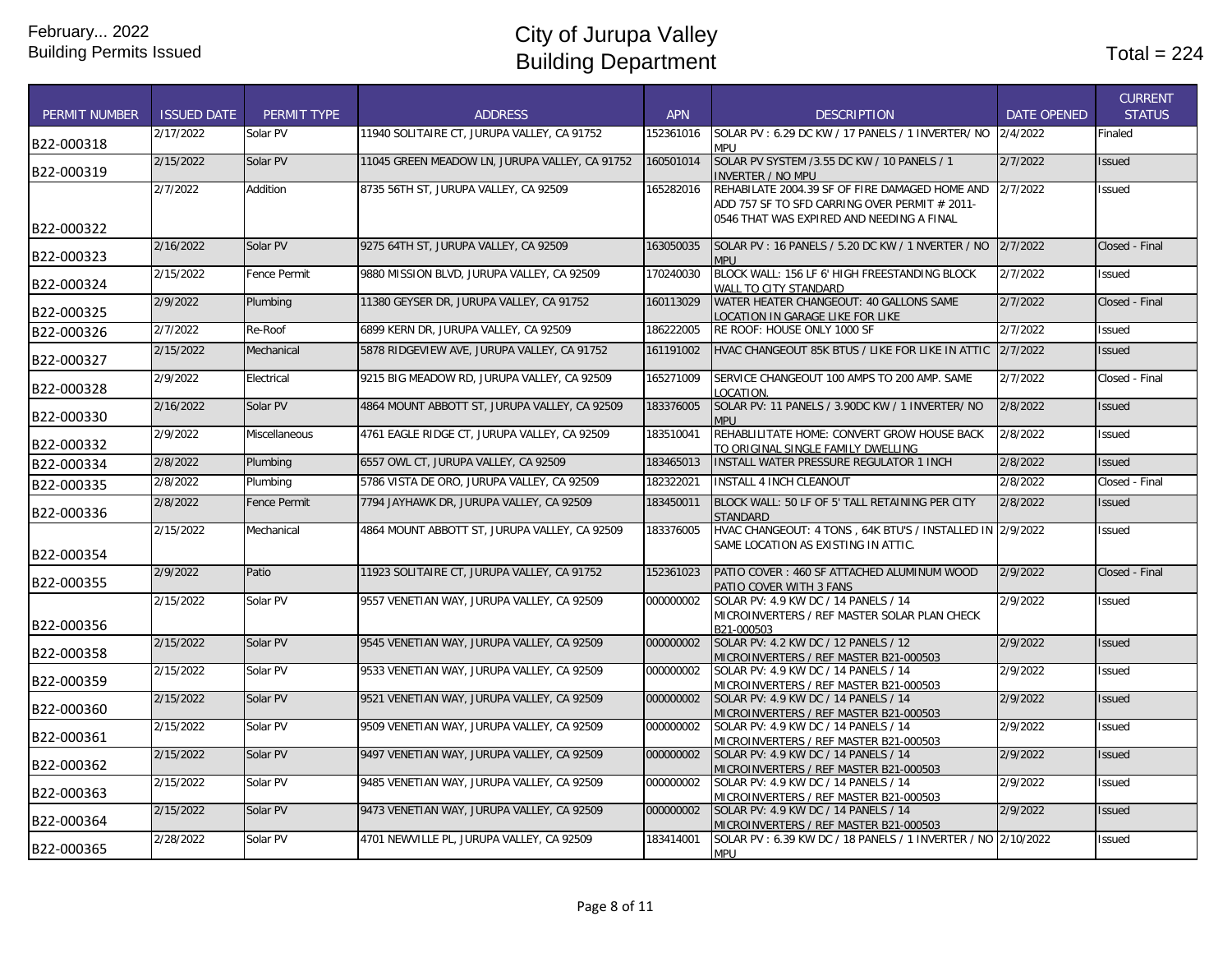| <b>PERMIT NUMBER</b> | <b>ISSUED DATE</b> | PERMIT TYPE         | <b>ADDRESS</b>                                 | <b>APN</b> | <b>DESCRIPTION</b>                                                                                 | <b>DATE OPENED</b> | <b>CURRENT</b><br><b>STATUS</b> |
|----------------------|--------------------|---------------------|------------------------------------------------|------------|----------------------------------------------------------------------------------------------------|--------------------|---------------------------------|
| B22-000318           | 2/17/2022          | Solar PV            | 11940 SOLITAIRE CT, JURUPA VALLEY, CA 91752    | 152361016  | SOLAR PV: 6.29 DC KW / 17 PANELS / 1 INVERTER/ NO<br>MPU                                           | 2/4/2022           | Finaled                         |
| B22-000319           | 2/15/2022          | Solar PV            | 11045 GREEN MEADOW LN, JURUPA VALLEY, CA 91752 | 160501014  | SOLAR PV SYSTEM /3.55 DC KW / 10 PANELS / 1<br><b>INVERTER / NO MPU</b>                            | 2/7/2022           | <b>Issued</b>                   |
|                      | 2/7/2022           | Addition            | 8735 56TH ST. JURUPA VALLEY. CA 92509          | 165282016  | REHABILATE 2004.39 SF OF FIRE DAMAGED HOME AND<br>ADD 757 SF TO SFD CARRING OVER PERMIT # 2011-    | 2/7/2022           | Issued                          |
| B22-000322           |                    |                     |                                                |            | 0546 THAT WAS EXPIRED AND NEEDING A FINAL                                                          |                    |                                 |
| B22-000323           | 2/16/2022          | Solar PV            | 9275 64TH ST, JURUPA VALLEY, CA 92509          | 163050035  | SOLAR PV: 16 PANELS / 5.20 DC KW / 1 NVERTER / NO<br><b>MPU</b>                                    | 2/7/2022           | Closed - Final                  |
| B22-000324           | 2/15/2022          | <b>Fence Permit</b> | 9880 MISSION BLVD, JURUPA VALLEY, CA 92509     | 170240030  | BLOCK WALL: 156 LF 6' HIGH FREESTANDING BLOCK<br>WALL TO CITY STANDARD                             | 2/7/2022           | <b>Issued</b>                   |
| B22-000325           | 2/9/2022           | Plumbing            | 11380 GEYSER DR, JURUPA VALLEY, CA 91752       | 160113029  | WATER HEATER CHANGEOUT: 40 GALLONS SAME<br>LOCATION IN GARAGE LIKE FOR LIKE                        | 2/7/2022           | Closed - Final                  |
| B22-000326           | 2/7/2022           | Re-Roof             | 6899 KERN DR, JURUPA VALLEY, CA 92509          | 186222005  | RE ROOF: HOUSE ONLY 1000 SF                                                                        | 2/7/2022           | Issued                          |
| B22-000327           | 2/15/2022          | Mechanical          | 5878 RIDGEVIEW AVE, JURUPA VALLEY, CA 91752    | 161191002  | HVAC CHANGEOUT 85K BTUS / LIKE FOR LIKE IN ATTIC 2/7/2022                                          |                    | <b>Issued</b>                   |
| IB22-000328          | 2/9/2022           | Electrical          | 9215 BIG MEADOW RD, JURUPA VALLEY, CA 92509    | 165271009  | SERVICE CHANGEOUT 100 AMPS TO 200 AMP. SAME<br>LOCATION.                                           | 2/7/2022           | Closed - Final                  |
| B22-000330           | 2/16/2022          | Solar PV            | 4864 MOUNT ABBOTT ST, JURUPA VALLEY, CA 92509  | 183376005  | SOLAR PV: 11 PANELS / 3.90DC KW / 1 INVERTER/ NO<br><b>MPU</b>                                     | 2/8/2022           | <b>Issued</b>                   |
| B22-000332           | 2/9/2022           | Miscellaneous       | 4761 EAGLE RIDGE CT, JURUPA VALLEY, CA 92509   | 183510041  | REHABLILITATE HOME: CONVERT GROW HOUSE BACK<br>TO ORIGINAL SINGLE FAMILY DWELLING                  | 2/8/2022           | <b>Issued</b>                   |
| B22-000334           | 2/8/2022           | Plumbing            | 6557 OWL CT. JURUPA VALLEY. CA 92509           | 183465013  | <b>INSTALL WATER PRESSURE REGULATOR 1 INCH</b>                                                     | 2/8/2022           | <b>Issued</b>                   |
| B22-000335           | 2/8/2022           | Plumbing            | 5786 VISTA DE ORO, JURUPA VALLEY, CA 92509     | 182322021  | <b>INSTALL 4 INCH CLEANOUT</b>                                                                     | 2/8/2022           | Closed - Final                  |
| B22-000336           | 2/8/2022           | <b>Fence Permit</b> | 7794 JAYHAWK DR, JURUPA VALLEY, CA 92509       | 183450011  | BLOCK WALL: 50 LF OF 5' TALL RETAINING PER CITY<br>STANDARD                                        | 2/8/2022           | <b>Issued</b>                   |
| B22-000354           | 2/15/2022          | Mechanical          | 4864 MOUNT ABBOTT ST, JURUPA VALLEY, CA 92509  | 183376005  | HVAC CHANGEOUT: 4 TONS, 64K BTU'S / INSTALLED IN 2/9/2022<br>SAME LOCATION AS EXISTING IN ATTIC.   |                    | <b>Issued</b>                   |
| B22-000355           | 2/9/2022           | Patio               | 11923 SOLITAIRE CT, JURUPA VALLEY, CA 91752    | 152361023  | PATIO COVER: 460 SF ATTACHED ALUMINUM WOOD<br>PATIO COVER WITH 3 FANS                              | 2/9/2022           | Closed - Final                  |
| B22-000356           | 2/15/2022          | Solar PV            | 9557 VENETIAN WAY, JURUPA VALLEY, CA 92509     | 000000002  | SOLAR PV: 4.9 KW DC / 14 PANELS / 14<br>MICROINVERTERS / REF MASTER SOLAR PLAN CHECK<br>B21-000503 | 2/9/2022           | <b>Issued</b>                   |
| B22-000358           | 2/15/2022          | Solar PV            | 9545 VENETIAN WAY, JURUPA VALLEY, CA 92509     | 000000002  | SOLAR PV: 4.2 KW DC / 12 PANELS / 12<br>MICROINVERTERS / REF MASTER B21-000503                     | 2/9/2022           | <b>Issued</b>                   |
| B22-000359           | 2/15/2022          | Solar PV            | 9533 VENETIAN WAY, JURUPA VALLEY, CA 92509     | 000000002  | SOLAR PV: 4.9 KW DC / 14 PANELS / 14<br>MICROINVERTERS / REF MASTER B21-000503                     | 2/9/2022           | <b>Issued</b>                   |
| B22-000360           | 2/15/2022          | Solar PV            | 9521 VENETIAN WAY, JURUPA VALLEY, CA 92509     | 000000002  | SOLAR PV: 4.9 KW DC / 14 PANELS / 14<br>MICROINVERTERS / REF MASTER B21-000503                     | 2/9/2022           | <b>Issued</b>                   |
| B22-000361           | 2/15/2022          | Solar PV            | 9509 VENETIAN WAY, JURUPA VALLEY, CA 92509     | 000000002  | SOLAR PV: 4.9 KW DC / 14 PANELS / 14<br>MICROINVERTERS / REF MASTER B21-000503                     | 2/9/2022           | <b>Issued</b>                   |
| B22-000362           | 2/15/2022          | Solar PV            | 9497 VENETIAN WAY, JURUPA VALLEY, CA 92509     | 000000002  | SOLAR PV: 4.9 KW DC / 14 PANELS / 14<br>MICROINVERTERS / REF MASTER B21-000503                     | 2/9/2022           | <b>Issued</b>                   |
| B22-000363           | 2/15/2022          | Solar PV            | 9485 VENETIAN WAY, JURUPA VALLEY, CA 92509     | 000000002  | SOLAR PV: 4.9 KW DC / 14 PANELS / 14<br>MICROINVERTERS / REF MASTER B21-000503                     | 2/9/2022           | <b>Issued</b>                   |
| B22-000364           | 2/15/2022          | Solar PV            | 9473 VENETIAN WAY, JURUPA VALLEY, CA 92509     | 000000002  | SOLAR PV: 4.9 KW DC / 14 PANELS / 14<br>MICROINVERTERS / REF MASTER B21-000503                     | 2/9/2022           | <b>Issued</b>                   |
| B22-000365           | 2/28/2022          | Solar PV            | 4701 NEWVILLE PL, JURUPA VALLEY, CA 92509      | 183414001  | SOLAR PV: 6.39 KW DC / 18 PANELS / 1 INVERTER / NO 2/10/2022<br><b>MPU</b>                         |                    | <b>Issued</b>                   |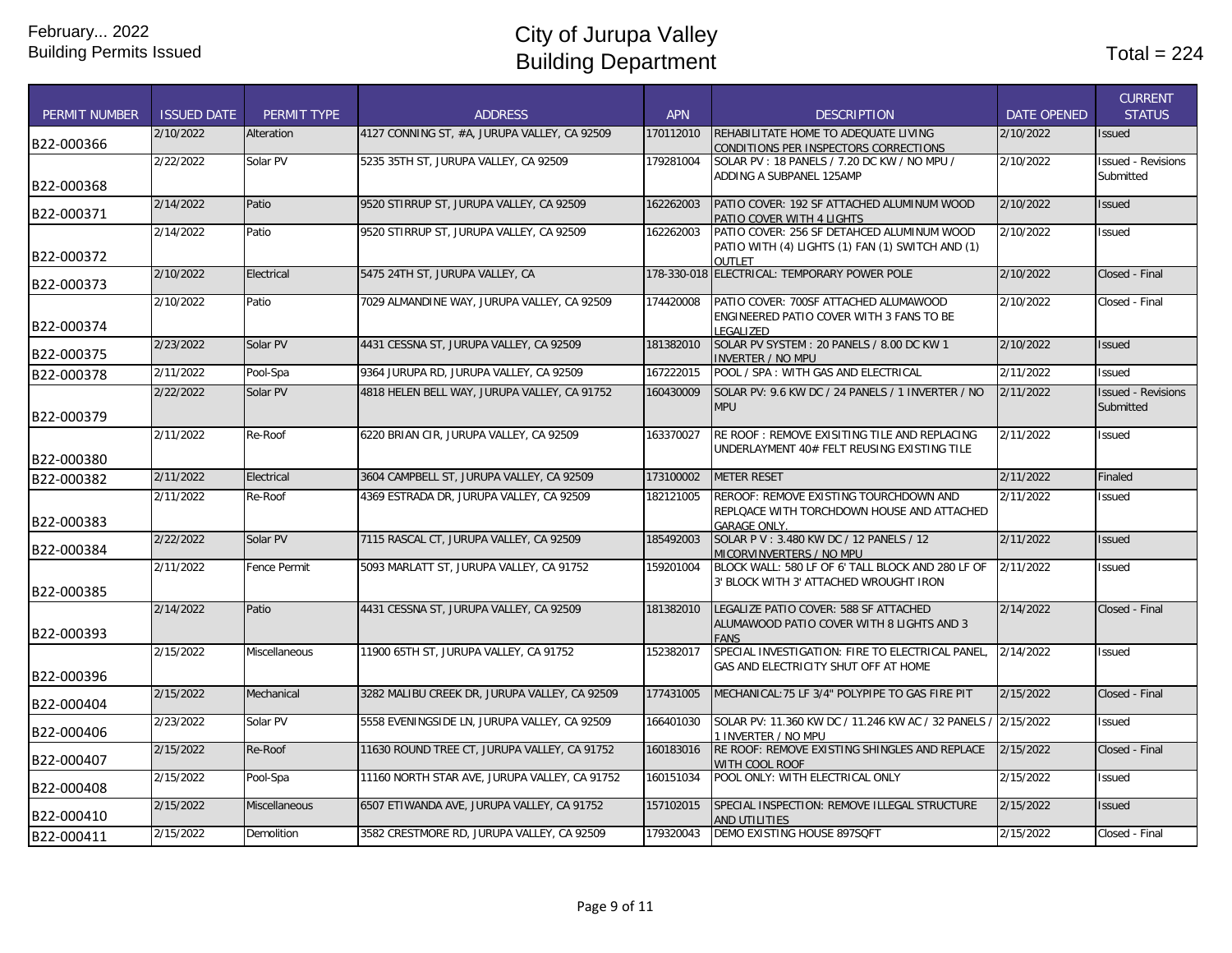| <b>PERMIT NUMBER</b> | <b>ISSUED DATE</b> | <b>PERMIT TYPE</b>   | <b>ADDRESS</b>                                | <b>APN</b> | <b>DESCRIPTION</b>                                                                                       | <b>DATE OPENED</b> | <b>CURRENT</b><br><b>STATUS</b>        |
|----------------------|--------------------|----------------------|-----------------------------------------------|------------|----------------------------------------------------------------------------------------------------------|--------------------|----------------------------------------|
| B22-000366           | 2/10/2022          | Alteration           | 4127 CONNING ST. #A. JURUPA VALLEY. CA 92509  | 170112010  | REHABILITATE HOME TO ADEQUATE LIVING<br>CONDITIONS PER INSPECTORS CORRECTIONS                            | 2/10/2022          | <b>Issued</b>                          |
| B22-000368           | 2/22/2022          | Solar PV             | 5235 35TH ST, JURUPA VALLEY, CA 92509         | 179281004  | SOLAR PV: 18 PANELS / 7.20 DC KW / NO MPU /<br>ADDING A SUBPANEL 125AMP                                  | 2/10/2022          | <b>Issued - Revisions</b><br>Submitted |
| B22-000371           | 2/14/2022          | Patio                | 9520 STIRRUP ST, JURUPA VALLEY, CA 92509      | 162262003  | PATIO COVER: 192 SF ATTACHED ALUMINUM WOOD<br>PATIO COVER WITH 4 LIGHTS                                  | 2/10/2022          | <b>Issued</b>                          |
| B22-000372           | 2/14/2022          | Patio                | 9520 STIRRUP ST, JURUPA VALLEY, CA 92509      | 162262003  | PATIO COVER: 256 SF DETAHCED ALUMINUM WOOD<br>PATIO WITH (4) LIGHTS (1) FAN (1) SWITCH AND (1)<br>OUTLET | 2/10/2022          | Issued                                 |
| B22-000373           | 2/10/2022          | Electrical           | 5475 24TH ST, JURUPA VALLEY, CA               |            | 178-330-018 ELECTRICAL: TEMPORARY POWER POLE                                                             | 2/10/2022          | Closed - Final                         |
| B22-000374           | 2/10/2022          | Patio                | 7029 ALMANDINE WAY, JURUPA VALLEY, CA 92509   | 174420008  | PATIO COVER: 700SF ATTACHED ALUMAWOOD<br>ENGINEERED PATIO COVER WITH 3 FANS TO BE<br>LEGALIZED           | 2/10/2022          | Closed - Final                         |
| B22-000375           | 2/23/2022          | Solar PV             | 4431 CESSNA ST, JURUPA VALLEY, CA 92509       | 181382010  | SOLAR PV SYSTEM: 20 PANELS / 8.00 DC KW 1<br><b>INVERTER / NO MPU</b>                                    | 2/10/2022          | <b>Issued</b>                          |
| B22-000378           | 2/11/2022          | Pool-Spa             | 9364 JURUPA RD, JURUPA VALLEY, CA 92509       | 167222015  | POOL / SPA: WITH GAS AND ELECTRICAL                                                                      | 2/11/2022          | <b>Issued</b>                          |
| B22-000379           | 2/22/2022          | Solar PV             | 4818 HELEN BELL WAY, JURUPA VALLEY, CA 91752  | 160430009  | SOLAR PV: 9.6 KW DC / 24 PANELS / 1 INVERTER / NO<br><b>MPU</b>                                          | 2/11/2022          | <b>Issued - Revisions</b><br>Submitted |
| B22-000380           | 2/11/2022          | Re-Roof              | 6220 BRIAN CIR, JURUPA VALLEY, CA 92509       | 163370027  | RE ROOF: REMOVE EXISITING TILE AND REPLACING<br>UNDERLAYMENT 40# FELT REUSING EXISTING TILE              | 2/11/2022          | Issued                                 |
| B22-000382           | 2/11/2022          | Electrical           | 3604 CAMPBELL ST, JURUPA VALLEY, CA 92509     | 173100002  | <b>METER RESET</b>                                                                                       | 2/11/2022          | Finaled                                |
| B22-000383           | 2/11/2022          | Re-Roof              | 4369 ESTRADA DR, JURUPA VALLEY, CA 92509      | 182121005  | REROOF: REMOVE EXISTING TOURCHDOWN AND<br>REPLOACE WITH TORCHDOWN HOUSE AND ATTACHED                     | 2/11/2022          | Issued                                 |
| B22-000384           | 2/22/2022          | Solar PV             | 7115 RASCAL CT, JURUPA VALLEY, CA 92509       | 185492003  | GARAGE ONLY.<br>SOLAR P V: 3.480 KW DC / 12 PANELS / 12<br>MICORVINVERTERS / NO MPU                      | 2/11/2022          | <b>Issued</b>                          |
| B22-000385           | 2/11/2022          | <b>Fence Permit</b>  | 5093 MARLATT ST, JURUPA VALLEY, CA 91752      | 159201004  | BLOCK WALL: 580 LF OF 6' TALL BLOCK AND 280 LF OF<br>3' BLOCK WITH 3' ATTACHED WROUGHT IRON              | 2/11/2022          | Issued                                 |
| B22-000393           | 2/14/2022          | Patio                | 4431 CESSNA ST, JURUPA VALLEY, CA 92509       | 181382010  | LEGALIZE PATIO COVER: 588 SF ATTACHED<br>ALUMAWOOD PATIO COVER WITH 8 LIGHTS AND 3<br><b>FANS</b>        | 2/14/2022          | Closed - Final                         |
| B22-000396           | 2/15/2022          | <b>Miscellaneous</b> | 11900 65TH ST. JURUPA VALLEY. CA 91752        | 152382017  | SPECIAL INVESTIGATION: FIRE TO ELECTRICAL PANEL.<br>GAS AND ELECTRICITY SHUT OFF AT HOME                 | 2/14/2022          | <b>Issued</b>                          |
| B22-000404           | 2/15/2022          | Mechanical           | 3282 MALIBU CREEK DR, JURUPA VALLEY, CA 92509 | 177431005  | MECHANICAL: 75 LF 3/4" POLYPIPE TO GAS FIRE PIT                                                          | 2/15/2022          | Closed - Final                         |
| B22-000406           | 2/23/2022          | Solar PV             | 5558 EVENINGSIDE LN, JURUPA VALLEY, CA 92509  | 166401030  | SOLAR PV: 11.360 KW DC / 11.246 KW AC / 32 PANELS,<br>1 INVERTER / NO MPU                                | 2/15/2022          | Issued                                 |
| B22-000407           | 2/15/2022          | Re-Roof              | 11630 ROUND TREE CT, JURUPA VALLEY, CA 91752  | 160183016  | RE ROOF: REMOVE EXISTING SHINGLES AND REPLACE<br>WITH COOL ROOF                                          | 2/15/2022          | Closed - Final                         |
| B22-000408           | 2/15/2022          | Pool-Spa             | 11160 NORTH STAR AVE, JURUPA VALLEY, CA 91752 | 160151034  | POOL ONLY: WITH ELECTRICAL ONLY                                                                          | 2/15/2022          | Issued                                 |
| B22-000410           | 2/15/2022          | <b>Miscellaneous</b> | 6507 ETIWANDA AVE, JURUPA VALLEY, CA 91752    | 157102015  | SPECIAL INSPECTION: REMOVE ILLEGAL STRUCTURE<br>AND UTILITIES                                            | 2/15/2022          | <b>Issued</b>                          |
| B22-000411           | 2/15/2022          | Demolition           | 3582 CRESTMORE RD, JURUPA VALLEY, CA 92509    | 179320043  | DEMO EXISTING HOUSE 897SQFT                                                                              | 2/15/2022          | Closed - Final                         |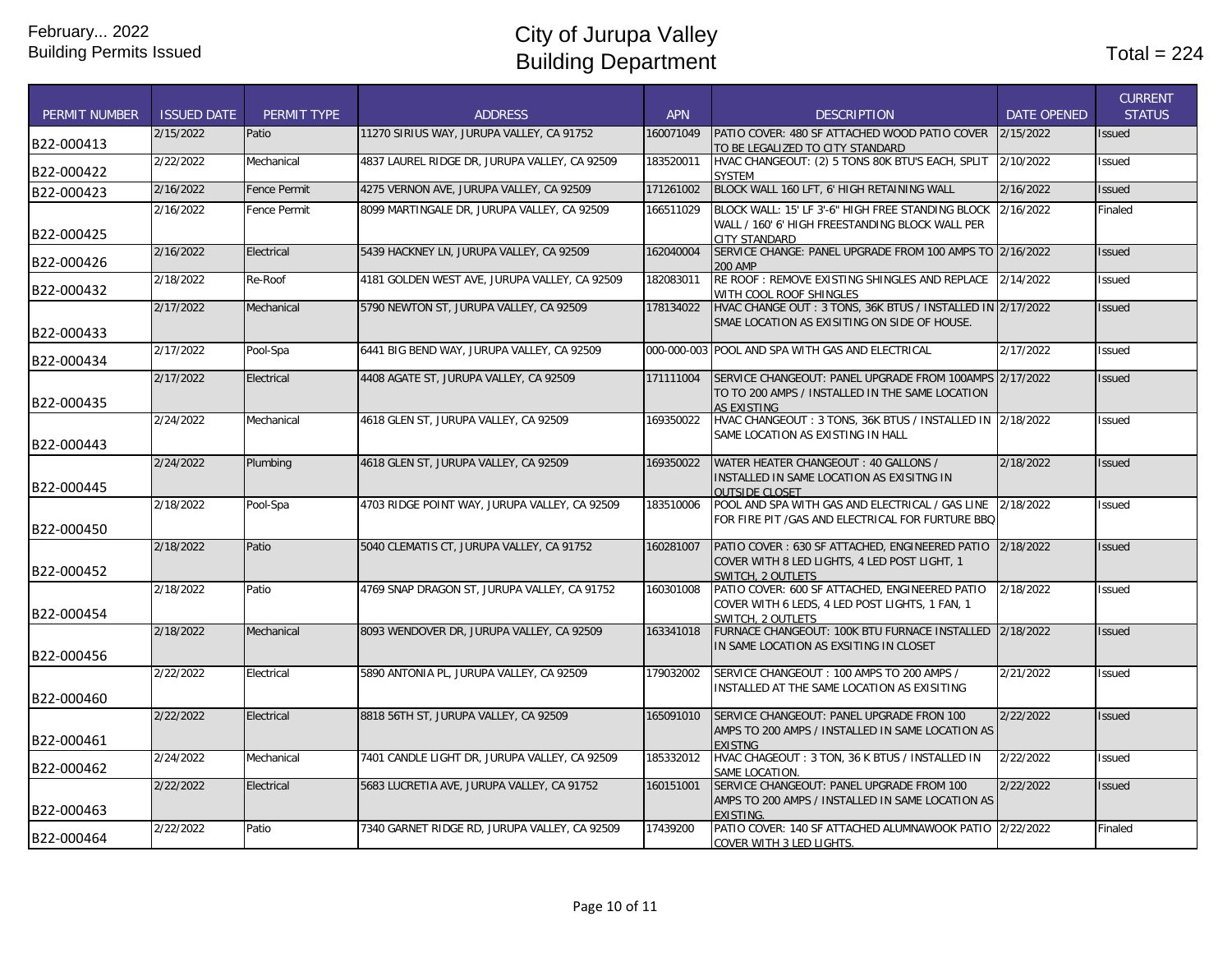| <b>PERMIT NUMBER</b> | <b>ISSUED DATE</b> | PERMIT TYPE         | <b>ADDRESS</b>                                | <b>APN</b> | <b>DESCRIPTION</b>                                                                                                                   | <b>DATE OPENED</b> | <b>CURRENT</b><br><b>STATUS</b> |
|----------------------|--------------------|---------------------|-----------------------------------------------|------------|--------------------------------------------------------------------------------------------------------------------------------------|--------------------|---------------------------------|
| B22-000413           | 2/15/2022          | Patio               | 11270 SIRIUS WAY, JURUPA VALLEY, CA 91752     | 160071049  | PATIO COVER: 480 SF ATTACHED WOOD PATIO COVER<br>TO BE LEGALIZED TO CITY STANDARD                                                    | 2/15/2022          | <b>Issued</b>                   |
| B22-000422           | 2/22/2022          | Mechanical          | 4837 LAUREL RIDGE DR, JURUPA VALLEY, CA 92509 | 183520011  | HVAC CHANGEOUT: (2) 5 TONS 80K BTU'S EACH, SPLIT<br><b>SYSTEM</b>                                                                    | 2/10/2022          | Issued                          |
| B22-000423           | 2/16/2022          | <b>Fence Permit</b> | 4275 VERNON AVE, JURUPA VALLEY, CA 92509      | 171261002  | BLOCK WALL 160 LFT, 6' HIGH RETAINING WALL                                                                                           | 2/16/2022          | <b>Issued</b>                   |
| B22-000425           | 2/16/2022          | Fence Permit        | 8099 MARTINGALE DR, JURUPA VALLEY, CA 92509   | 166511029  | BLOCK WALL: 15' LF 3'-6" HIGH FREE STANDING BLOCK<br>WALL / 160' 6' HIGH FREESTANDING BLOCK WALL PER<br>CITY STANDARD                | 2/16/2022          | Finaled                         |
| B22-000426           | 2/16/2022          | Electrical          | 5439 HACKNEY LN, JURUPA VALLEY, CA 92509      | 162040004  | SERVICE CHANGE: PANEL UPGRADE FROM 100 AMPS TO 2/16/2022<br>200 AMP                                                                  |                    | <b>Issued</b>                   |
| B22-000432           | 2/18/2022          | Re-Roof             | 4181 GOLDEN WEST AVE, JURUPA VALLEY, CA 92509 | 182083011  | RE ROOF: REMOVE EXISTING SHINGLES AND REPLACE<br>WITH COOL ROOF SHINGLES                                                             | 2/14/2022          | <b>Issued</b>                   |
| B22-000433           | 2/17/2022          | Mechanical          | 5790 NEWTON ST, JURUPA VALLEY, CA 92509       | 178134022  | HVAC CHANGE OUT: 3 TONS, 36K BTUS / INSTALLED IN 2/17/2022<br>SMAE LOCATION AS EXISITING ON SIDE OF HOUSE.                           |                    | <b>Issued</b>                   |
| B22-000434           | 2/17/2022          | Pool-Spa            | 6441 BIG BEND WAY, JURUPA VALLEY, CA 92509    |            | 000-000-003 POOL AND SPA WITH GAS AND ELECTRICAL                                                                                     | 2/17/2022          | Issued                          |
| B22-000435           | 2/17/2022          | Electrical          | 4408 AGATE ST, JURUPA VALLEY, CA 92509        | 171111004  | SERVICE CHANGEOUT: PANEL UPGRADE FROM 100AMPS 2/17/2022<br>TO TO 200 AMPS / INSTALLED IN THE SAME LOCATION<br><b>AS EXISTING</b>     |                    | <b>Issued</b>                   |
| B22-000443           | 2/24/2022          | Mechanical          | 4618 GLEN ST, JURUPA VALLEY, CA 92509         | 169350022  | HVAC CHANGEOUT: 3 TONS, 36K BTUS / INSTALLED IN 2/18/2022<br>SAME LOCATION AS EXISTING IN HALL                                       |                    | <b>Issued</b>                   |
| B22-000445           | 2/24/2022          | Plumbing            | 4618 GLEN ST, JURUPA VALLEY, CA 92509         | 169350022  | WATER HEATER CHANGEOUT: 40 GALLONS /<br>INSTALLED IN SAME LOCATION AS EXISITNG IN<br><b>OUTSIDE CLOSET</b>                           | 2/18/2022          | <b>Issued</b>                   |
| B22-000450           | 2/18/2022          | Pool-Spa            | 4703 RIDGE POINT WAY, JURUPA VALLEY, CA 92509 | 183510006  | POOL AND SPA WITH GAS AND ELECTRICAL / GAS LINE<br>FOR FIRE PIT / GAS AND ELECTRICAL FOR FURTURE BBQ                                 | 2/18/2022          | Issued                          |
| B22-000452           | 2/18/2022          | Patio               | 5040 CLEMATIS CT, JURUPA VALLEY, CA 91752     | 160281007  | PATIO COVER: 630 SF ATTACHED, ENGINEERED PATIO 2/18/2022<br>COVER WITH 8 LED LIGHTS, 4 LED POST LIGHT, 1<br><b>SWITCH, 2 OUTLETS</b> |                    | <b>Issued</b>                   |
| B22-000454           | 2/18/2022          | Patio               | 4769 SNAP DRAGON ST, JURUPA VALLEY, CA 91752  | 160301008  | PATIO COVER: 600 SF ATTACHED, ENGINEERED PATIO<br>COVER WITH 6 LEDS, 4 LED POST LIGHTS, 1 FAN, 1<br>SWITCH, 2 OUTLETS                | 2/18/2022          | Issued                          |
| B22-000456           | 2/18/2022          | Mechanical          | 8093 WENDOVER DR, JURUPA VALLEY, CA 92509     | 163341018  | FURNACE CHANGEOUT: 100K BTU FURNACE INSTALLED<br>IN SAME LOCATION AS EXSITING IN CLOSET                                              | 2/18/2022          | <b>Issued</b>                   |
| B22-000460           | 2/22/2022          | Electrical          | 5890 ANTONIA PL, JURUPA VALLEY, CA 92509      | 179032002  | SERVICE CHANGEOUT: 100 AMPS TO 200 AMPS /<br>INSTALLED AT THE SAME LOCATION AS EXISITING                                             | 2/21/2022          | <b>Issued</b>                   |
| B22-000461           | 2/22/2022          | Electrical          | 8818 56TH ST, JURUPA VALLEY, CA 92509         | 165091010  | SERVICE CHANGEOUT: PANEL UPGRADE FRON 100<br>AMPS TO 200 AMPS / INSTALLED IN SAME LOCATION AS<br><b>EXISTNG</b>                      | 2/22/2022          | <b>Issued</b>                   |
| B22-000462           | 2/24/2022          | Mechanical          | 7401 CANDLE LIGHT DR, JURUPA VALLEY, CA 92509 | 185332012  | HVAC CHAGEOUT: 3 TON, 36 K BTUS / INSTALLED IN<br>SAME LOCATION.                                                                     | 2/22/2022          | <b>Issued</b>                   |
| B22-000463           | 2/22/2022          | Electrical          | 5683 LUCRETIA AVE, JURUPA VALLEY, CA 91752    | 160151001  | SERVICE CHANGEOUT: PANEL UPGRADE FROM 100<br>AMPS TO 200 AMPS / INSTALLED IN SAME LOCATION AS<br><b>EXISTING</b>                     | 2/22/2022          | <b>Issued</b>                   |
| B22-000464           | 2/22/2022          | Patio               | 7340 GARNET RIDGE RD, JURUPA VALLEY, CA 92509 | 17439200   | PATIO COVER: 140 SF ATTACHED ALUMNAWOOK PATIO 2/22/2022<br>COVER WITH 3 LED LIGHTS.                                                  |                    | Finaled                         |